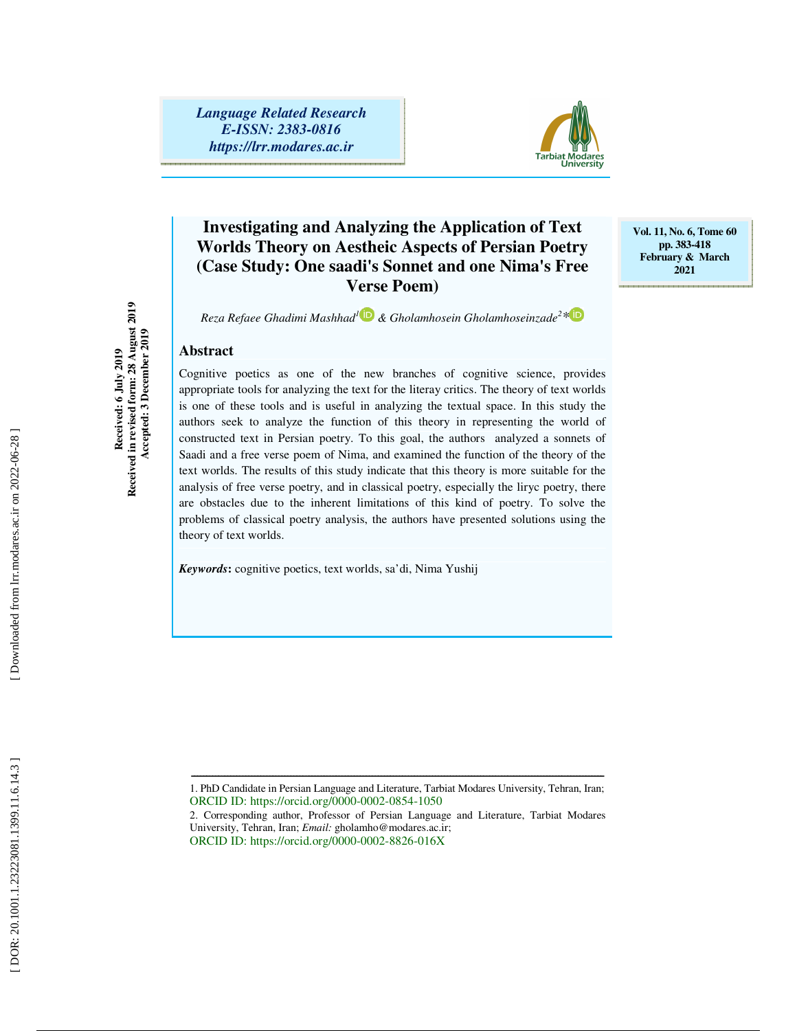*Language Related Research E-ISSN: 2383-0816 https://lrr.modares.ac.ir*



# **Investigating and Analyzing the Application of Text Worlds Theory on Aestheic Aspects of Persian Poetry (Case Study: One saadi's Sonnet and one Nima's Free Verse Poem)**

**Vol. 11, No. 6, Tome 60 pp. 383-418 February & March 2021** 

*Reza Refaee Ghadimi Mashhad 1 & Gholamhosein Gholamhoseinzade 2 \**

### **Abstract**

**Received: 6 July 2019 Received in revised form: 28 August 2019 Accepted: 3 December 2019** 

Received: 6 July 2019<br>Received in revised form: 28 August 2019<br>Accepted: 3 December 2019

Cognitive poetics as one of the new branches of cognitive science, provides appropriate tools for analyzing the text for the literay critics. The theory of text worlds is one of these tools and is useful in analyzing the textual space. In this study the authors seek to analyze the function of this theory in representing the world of constructed text in Persian poetry. To this goal, the authors analyzed a sonnets of Saadi and a free verse poem of Nima, and examined the function of the theory of the text worlds. The results of this study indicate that this theory is more suitable for the analysis of free verse poetry, and in classical poetry, especially the liryc poetry, there are obstacles due to the inherent limitations of this kind of poetry. To solve the problems of classical poetry analysis, the authors have presented solutions using the theory of text worlds.

*Keywords***:** cognitive poetics, text worlds, sa'di, Nima Yushij

ـــــــــــــــــــــــــــــــــــــــــــــــــــــــــــــــــــــــــــــــــــــــــــــــــــــــــــــــــــــــــــــــــــــــــ 1. PhD Candidate in Persian Language and Literature, Tarbiat Modares University, Tehran, Iran; ORCID ID: https://orcid.org/0000-0002-0854-1050

2. Corresponding author, Professor of Persian Language and Literature, Tarbiat Modares University, Tehran, Iran; *Email:* gholamho@modares.ac.ir; ORCID ID: https://orcid.org/0000-0002-8826-016X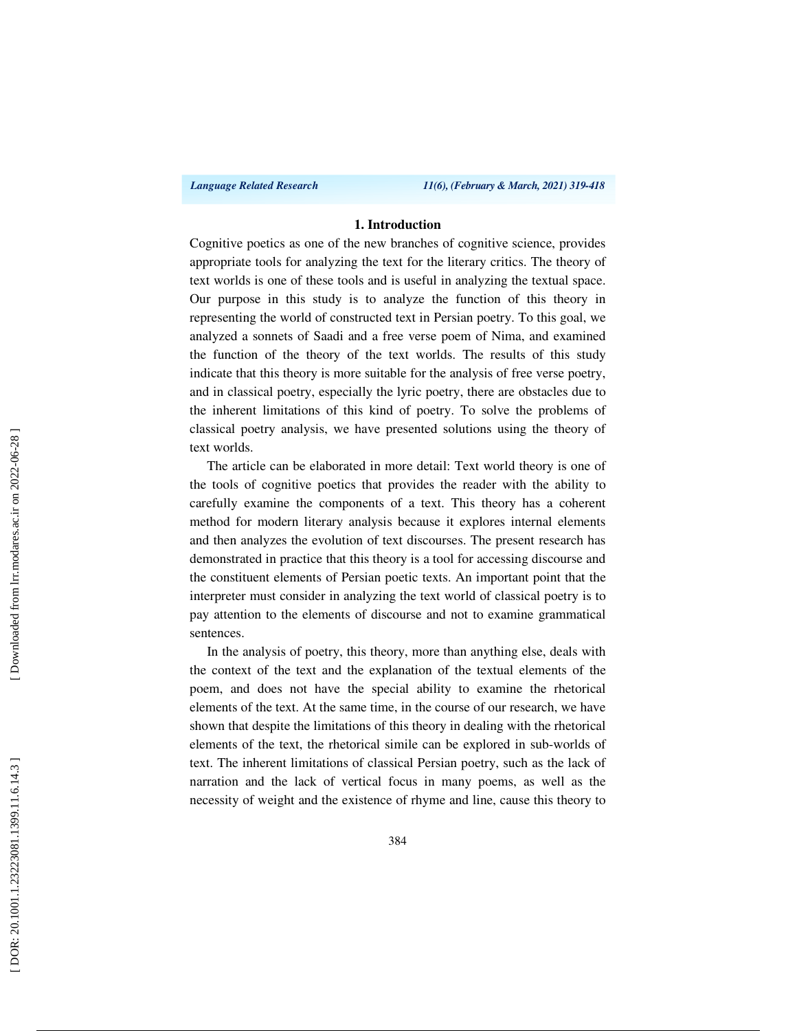*Language Related Research 11(6), (February & March, 2021) 319-418*

### **1. Introduction**

Cognitive poetics as one of the new branches of cognitive science, provides appropriate tools for analyzing the text for the literary critics. The theory of text worlds is one of these tools and is useful in analyzing the textual space. Our purpose in this study is to analyze the function of this theory in representing the world of constructed text in Persian poetry. To this goal, we analyzed a sonnets of Saadi and a free verse poem of Nima, and examined the function of the theory of the text worlds. The results of this study indicate that this theory is more suitable for the analysis of free verse poetry, and in classical poetry, especially the lyric poetry, there are obstacles due to the inherent limitations of this kind of poetry. To solve the problems of classical poetry analysis, we have presented solutions using the theory of text worlds.

The article can be elaborated in more detail: Text world theory is one of the tools of cognitive poetics that provides the reader with the ability to carefully examine the components of a text. This theory has a coherent method for modern literary analysis because it explores internal elements and then analyzes the evolution of text discourses. The present research has demonstrated in practice that this theory is a tool for accessing discourse and the constituent elements of Persian poetic texts. An important point that the interpreter must consider in analyzing the text world of classical poetry is to pay attention to the elements of discourse and not to examine grammatical sentences.

In the analysis of poetry, this theory, more than anything else, deals with the context of the text and the explanation of the textual elements of the poem, and does not have the special ability to examine the rhetorical elements of the text. At the same time, in the course of our research, we have shown that despite the limitations of this theory in dealing with the rhetorical elements of the text, the rhetorical simile can be explored in sub-worlds of text. The inherent limitations of classical Persian poetry, such as the lack of narration and the lack of vertical focus in many poems, as well as the necessity of weight and the existence of rhyme and line, cause this theory to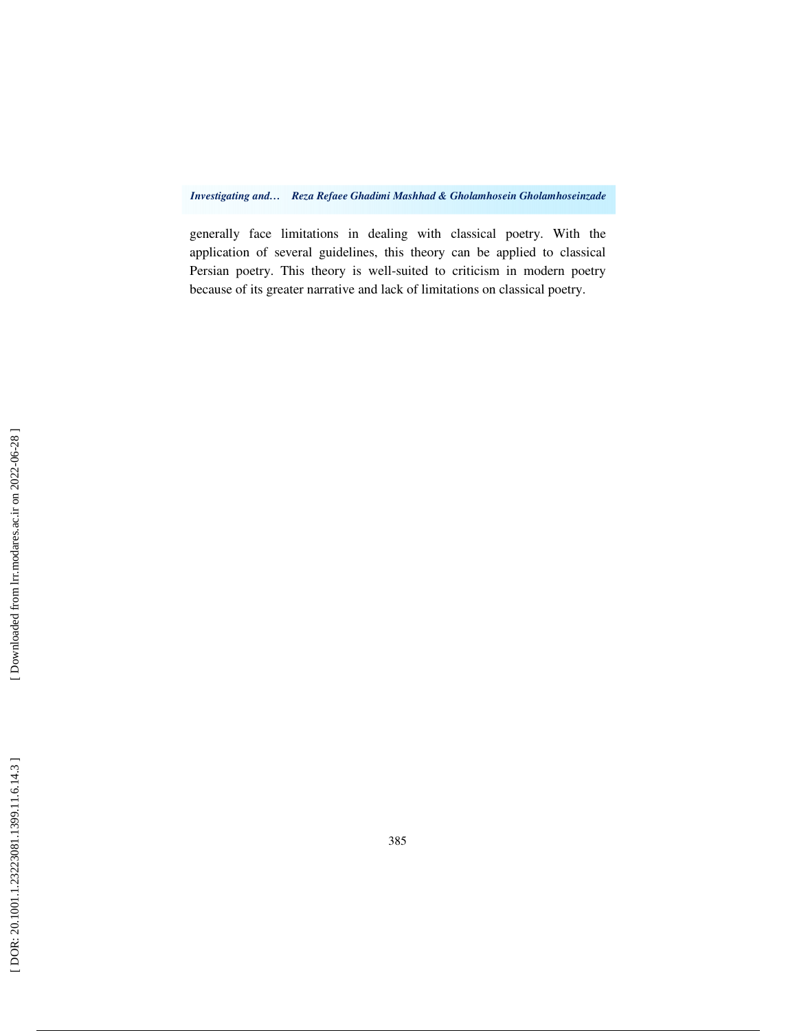*Investigating and… Reza Refaee Ghadimi Mashhad & Gholamhosein Gholamhoseinzade* 

generally face limitations in dealing with classical poetry. With the application of several guidelines, this theory can be applied to classical Persian poetry. This theory is well-suited to criticism in modern poetry because of its greater narrative and lack of limitations on classical poetry.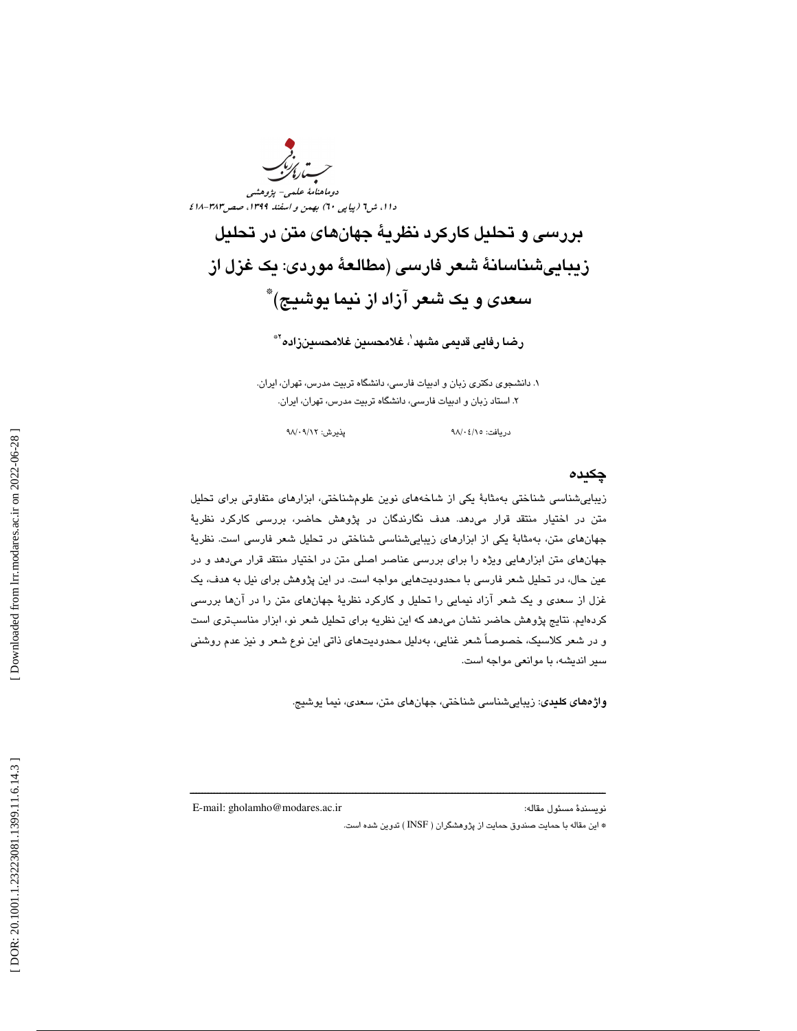

بررسي و تحليل كاركرد نظرية جهانهاي متن در تحليل زيباييشناسانة شعر فارسي (مطالعة موردي: يك غزل از سعدي و يك شعر آزاد از نيما يوشيج) \*

رضا رفايى قديمى مشبهد<sup>י</sup>، غلامحسين غلامحسينزاده<sup>؟</sup>\*

. دانشجوي دكتري زبان و ادبيات فارسي، دانشگاه تربيت مدرس، تهران، ايران. 1 2. استاد زبان و ادبيات فارسي، دانشگاه تربيت مدرس، تهران، ايران.

دريافت: ٩٨/٠٤/١٥ پذيرش: ٩٨/٠٩/١٢

### چكيده

زيباييشناسي شناختي بهمثابة يكي از شاخههاي نوين علومشناختي، ابزارهاي متفاوتي براي تحليل متن در اختيار منتقد قرار ميدهد. هدف نگارندگان در پژوهش حاضر، بررسي كاركرد نظرية جهانهاي متن، بهمثابة يكي از ابزارهاي زيباييشناسي شناختي در تحليل شعر فارسي است. نظرية جهانهاي متن ابزارهايي ويژه را براي بررسي عناصر اصلي متن در اختيار منتقد قرار ميدهد و در عين حال، در تحليل شعر فارسي با محدوديتهايي مواجه است. در اين پژوهش براي نيل به هدف، يك غزل از سعدي و يك شعر آزاد نيمايي را تحليل و كاركرد نظرية جهانهاي متن را در آنها بررسي كردهايم. نتايج پژوهش حاضر نشان ميدهد كه اين نظريه براي تحليل شعر نو، ابزار مناسبتري است و در شعر كلاسيك، خصوصاً شعر غنايي، بهدليل محدوديتهاي ذاتي اين نوع شعر و نيز عدم روشني سير انديشه، با موانعي مواجه است.

ــــــــــــــــــــــــــــــــــــــــــــــــــــــــــــــــــــــــــــــــــــــــــــــــــــــــــــــــــــــــــــــــــــــــــ

واژههاي كليدي: زيباييشناسي شناختي، جهانهاي متن، سعدي، نيما يوشيج.

E-mail: gholamho@modares.ac.ir :مقاله مسئول نويسندة

\* اين مقاله با حمايت صندوق حمايت از پژوهشگران ( INSF ( تدوين شده است .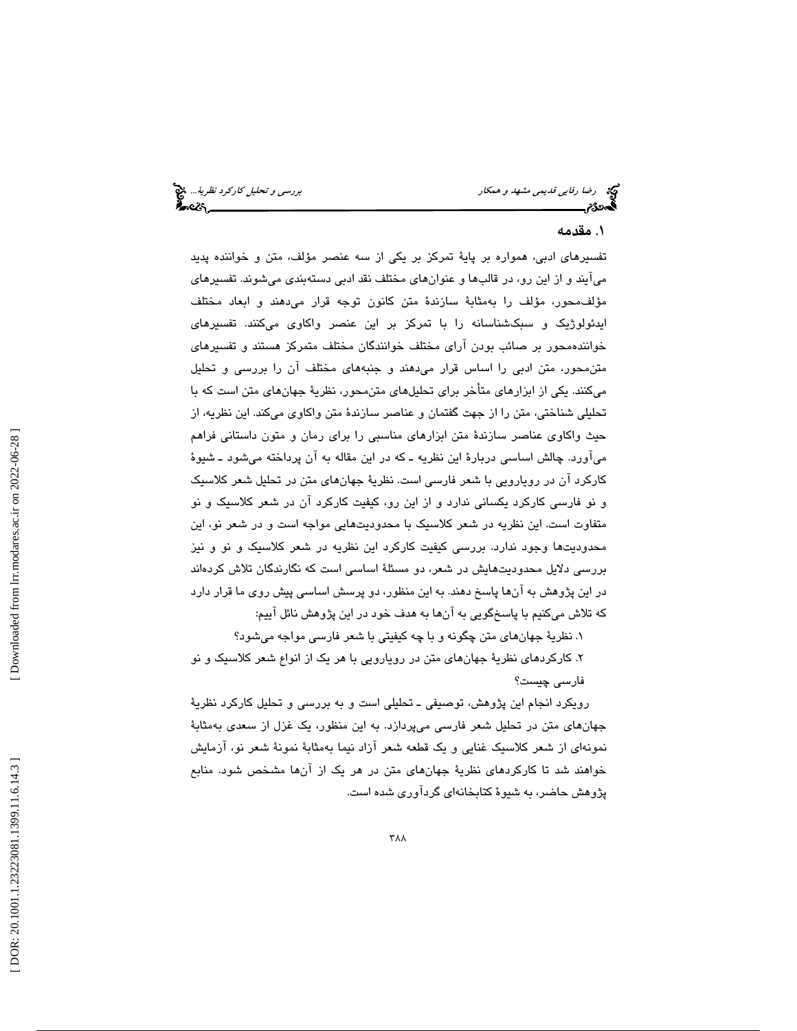رضا ر*فايي قديمي مشهد و همكار بررسي و تحليل كاركرد نظرية...*. پيچ<br>**الی ترجمن بررسي و تحليل كارل**يمي كارليمي كارليمي كارليمي كارليمي كارليمي كارليمي كارليمي كارليمي كارليمي كارليم<br>**الی تحلیل كارلیمي كارليمي كارليمي كارليمي** 

# . مقدمه 1

تفسيرهاي ادبي، همواره بر پاية تمركز بر يكي از سه عنصر مؤلف، متن و خواننده پديد ميآيند و از اين رو، در قالبها و عنوانهاي مختلف نقد ادبي دستهبندي ميشوند. تفسيرهاي مؤلفمحور، مؤلف را بهمثابة سازندة متن كانون توجه قرار ميدهند و ابعاد مختلف ايدئولوژيك و سبكشناسانه را با تمركز بر اين عنصر واكاوي ميكنند. تفسيرهاي خوانندهمحور بر صائب بودن آراي مختلف خوانندگان مختلف متمركز هستند و تفسيرهاي متنمحور، متن ادبي را اساس قرار ميدهند و جنبههاي مختلف را آن بررسي و تحليل ميكنند. يكي از ابزارهاي متأخر براي تحليلهاي متنمحور، نظرية جهانهاي متن است با كه تحليلي شناختي، متن را از جهت گفتمان و عناصر سازندهٔ متن واكاوي ميكند. اين نظريه، از حيث واكاوي عناصر سازندة متن ابزارهاي مناسبي را براي رمان و متون داستاني فراهم ميآورد. چالش اساسي دربارة اين نظريه ـ كه در اين مقاله به آن پرداخته ميشود ـ شيوة كاركرد آن در رويارويي با شعر فارسي است. نظرية جهانهاي متن در تحليل شعر كلاسيك و نو فارسي كاركرد يكساني ندارد و از اين رو، كيفيت كاركرد آن در شعر كلاسيك و نو متفاوت است. اين نظريه در شعر كلاسيك با محدوديتهايي مواجه است و در شعر نو، اين محدوديتها وجود ندارد. بررسي كيفيت كاركرد اين نظريه در شعر كلاسيك و نو و نيز بررسي دلايل محدوديتهايش در شعر، دو مسئلة اساسي است كه نگارندگان تلاش كردهاند در اين پژوهش به آنها پاسخ دهند. به اين منظور، دو پرسش اساسي پيش روي ما قرار دارد كه تلاش ميكنيم با پاسخگويي به آنها به هدف خود در اين پژوهش نائل آييم:

۰. نظريۀ جهانهاي متن چگونه و با چه كيفيتي با شعر فارسي مواجه ميشود؟

۲. كاركردهای نظریهٔ جهانهای متن در رویارویی با هر یک از انواع شعر كلاسیک و نو فارسي چيست؟

رويكرد انجام اين پژوهش، توصيفي ـ تحليلي است و به بررسي و تحليل كاركرد نظرية جهانهاي متن در تحليل شعر فارسي ميپردازد. به اين منظور، يك غزل از سعدي به مثابة نمونهاى از شعر كلاسيك غنايي و يك قطعه شعر آزاد نيما بهمثابة نمونة شعر نو، آزمايش خواهند تا شد كاركردهاي نظرية جهانهاي متن در هر يك از آن ها مشخص شود. منابع پژوهش حاضر، به شيوة كتابخانهاي گردآوري شده است.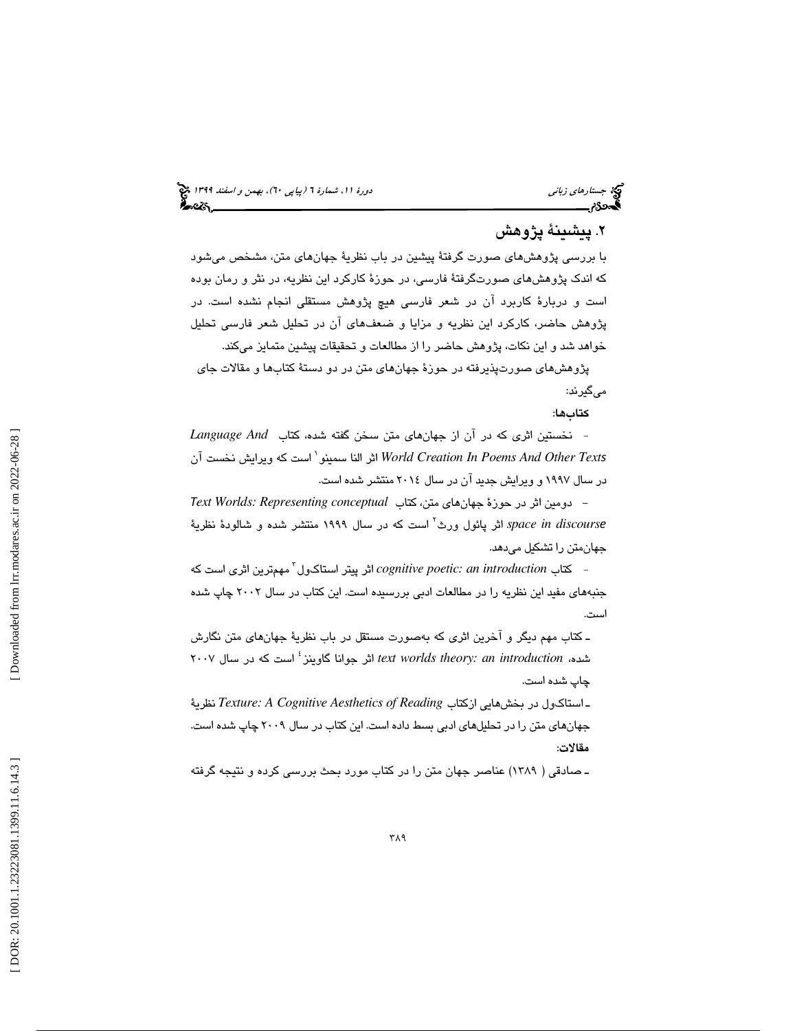# . 2 پيشينة پژوهش

با بررسي پژوهشهاي صورت گرفتة پيشين در باب نظرية جهانهاي متن، مشخص ميشود كه اندك پژوهشهاي صورتگرفتة فارسي، در حوزة كاركرد اين نظريه، در نثر و رمان بوده است و دربارة كاربرد آن در شعر فارسي هيچ پژوهش مستقلي انجام نشده است. در پژوهش حاضر، كاركرد اين نظريه و مزايا و ضعفهاي آن در تحليل شعر فارسي تحليل خواهد شد و اين نكات، پژوهش حاضر را از مطالعات و تحقيقات پيشين متمايز ميكند.

پژوهشهاي صورتپذيرفته در حوزة جهانهاي متن در دو دستة كتابها و مقالات جاي ميگيرند:

كتابها:

- نخستين اثري كه در آن از جهانهاي متن سخن گفته شده، كتاب *And Language* سمينو النا اثر *World Creation In Poems And Other Text*s 1 است كه ويرايش نخست آن در سال 1997 و ويرايش جديد آن در سال 2014 منتشر شده است.

- دومين اثر در حوزة جهانهاي متن، كتاب *conceptual Representing :Worlds* T*ext discours in space* اثر پائول ورث e 2 است كه در سال 1999 منتشر شده و شالودة نظرية جهانمتن را تشكيل ميدهد.

- كتاب *introduction an :poetic cognitive* اثر پيتر استاكول 3 مهمترين اثري است كه جنبههاي مفيد اين نظريه را در مطالعات ادبي بررسيده است. اين كتاب در سال 2002 چاپ شده است.

ـ كتاب مهم ديگر و آخرين اثري به كه صورت مستقل در باب نظرية جهانهاي متن نگارش گاوينز جوانا اثر *text worlds theory: an introduction* ،شده 4 است كه در سال 2007 چاپ شده است .

جهانهاي متن را در تحليلهاي ادبي بسط داده است. اين كتاب در سال <sup>2009</sup> چاپ شده است. ـ استاك ول در بخشهايي ازكتاب *Reading of Aesthetics Cognitive A :Texture* نظرية مقالات:

ـ صادقي ( 1389) عناصر جهان متن را در كتاب مورد بحث بررسي كرده و نتيجه گرفته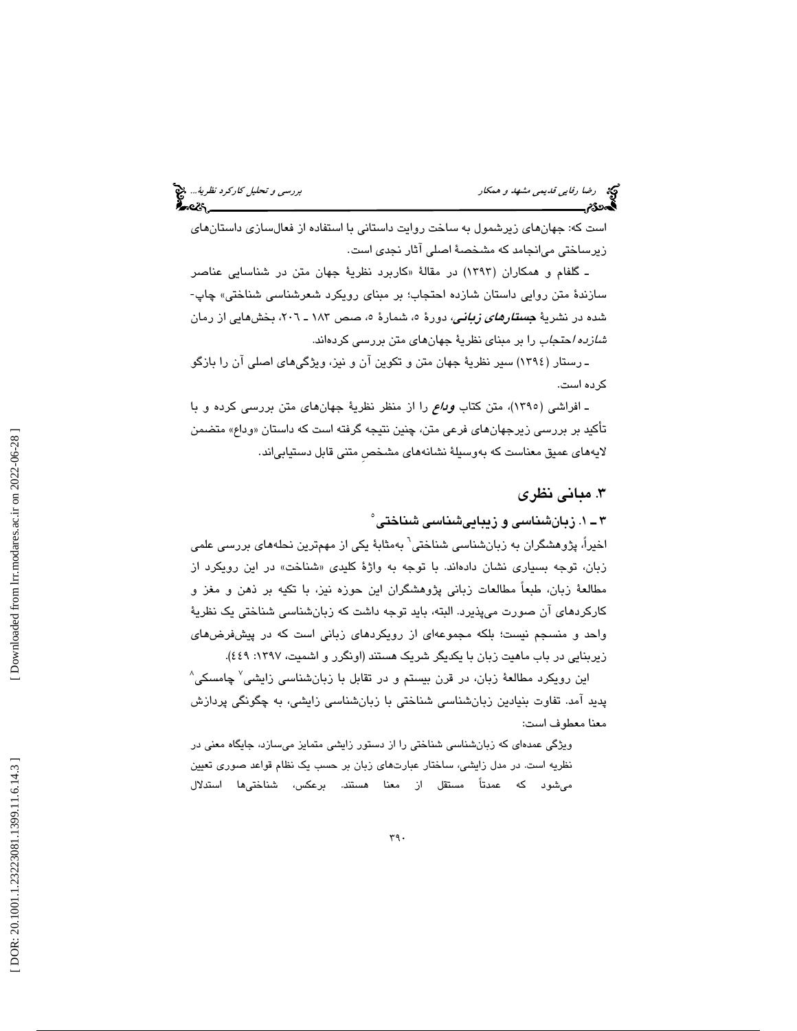است كه: جهانهاي زيرشمول به ساخت روايت داستاني با استفاده از فعالسازي داستانهاي زيرساختي ميانجامد كه مشخصة اصلي آثار نجدي است.

ـ گلفام و همكاران ( 1393) در مقالة « كاربرد نظرية جهان متن در شناسايي عناصر سازندة متن روايي داستان شازده احتجاب؛ بر مبناي رويكرد شعرشناسي شناختي » چاپ- شده در نشريهٔ *جستارهای زبانی،* دورهٔ ٥، شمارهٔ ٥، صص ١٨٣ ـ ٢٠٦، بخشهايي از رمان *شازده ا*حتج*اب* را بر مبناي نظرية جهانهاي متن بررسي كردهاند.

ـ رستار (١٣٩٤) سير نظريهٔ جهان متن و تكوين آن و نيز، ويژگيهاي اصلي آن را بازگو كرده است.

ـ افراشي (١٣٩٥)، متن كتاب *وداع* را از منظر نظرية جهانهاي متن بررسي كرده و با تأكيد بر بررسي زيرجهانهاي فرعي متن، چنين نتيجه گرفته است كه داستان « وداع » متضمن لايههاي عميق معناست كه بهوسيلة نشانههاي مشخصِ متنى قابل دستيابياند.

## . 3 مباني نظري

# 1ـ 3 . زبانشناسي و زيباييشناسي شناختي 5

اخیراً، پژوهشگران به زبانشناسی شناختی<sup>۱</sup> بهمثابهٔ یکی از مهمترین نحلههای بررسی علمی زبان، توجه بسياري نشان دادهاند. با توجه به واژهٔ كليدي «شناخت» در اين رويكرد از مطالعة زبان، طبعاً مطالعات زباني پژوهشگران اين حوزه نيز، با تكيه بر ذهن و مغز و كاركردهاي آن صورت ميپذيرد. البته، بايد توجه داشت كه زبانشناسي شناختي يك نظرية واحد و منسجم نيست؛ بلكه مجموعهاي از رويكردهاي زباني است كه در پيشفرضهاي زيربنايي در باب ماهيت زبان با يكديگر شريک هستند (اونگرر و اشميت، ١٣٩٧: ٤٤٩).

این رویکرد مطالعهٔ زبان، در قرن بیستم و در تقابل با زبانشناسی زایشی<sup>۷</sup> چامسکی<sup>۸</sup> پديد آمد. تفاوت بنيادين زبانشناسي شناختي با زبانشناسي زايشي، به چگونگي پردازش معنا معطوف است:

ويژگي عمدهاي كه زبانشناسي شناختي را از دستور زايشي متمايز ميسازد، جايگاه معني در نظريه است. در مدل زايشي، ساختار عبارتهاي زبان بر حسب يك نظام قواعد صوري تعيين میشود که عمدتاً مستقل از معنا هستند. برعکس، شناختیها استدلال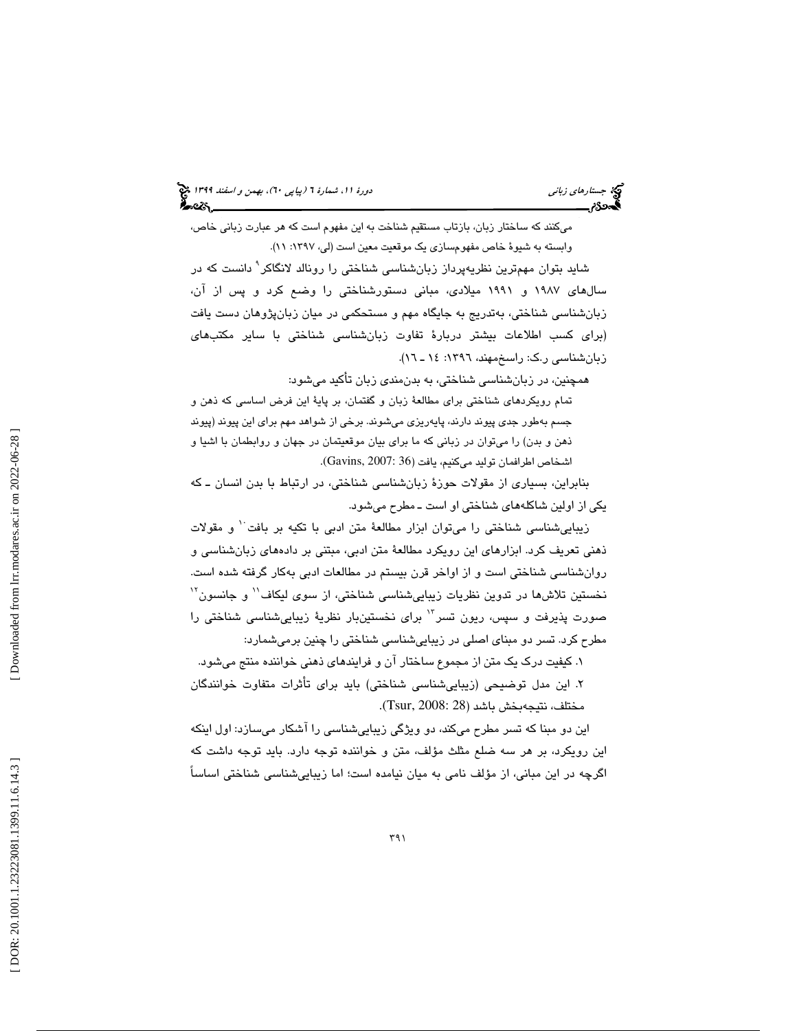ميكنند كه ساختار زبان، بازتاب مستقيم شناخت به اين مفهوم است كه هر عبارت زباني خاص، وابسته به شيوهٔ خاص مفهومسازي يک موقعيت معين است (لي، ١٣٩٧: ١١).

شايد بتوان مهمترين نظريهپرداز زبانشناسي شناختي را رونالد لانگاكر 9 دانست كه در سالهاي 1987 و 1991 ميلادي، مباني دستورشناختي را وضع كرد و پس از آن، زبانشناسي شناختي، بهتدريج به جايگاه مهم و مستحكمي در ميان زبانپژوهان دست يافت (براي كسب اطلاعات بيشتر دربارة تفاوت زبانشناسي شناختي با ساير مكتبهاي زبانشناسی ر.ک: راسخمهند، ۱۳۹۲: ۱۶ ـ ۱۲).

همچنين، در زبانشناسي شناختي، به بدنمندي زبان تأكيد ميشود:

تمام رويكردهاي شناختي براي مطالعة زبان و گفتمان، بر پاية اين فرض اساسي كه ذهن و جسم بهطور جدی پیوند دارند، پایهریزی میشوند. برخی از شواهد مهم برای این پیوند (پیوند ذهن و بدن) را ميتوان در زباني كه ما براي بيان موقعيتمان در جهان و روابطمان با اشيا و اشخاص اطرافمان توليد ميكنيم، يافت (36 :Gavins, 2007).

بنابراين، بسياري از مقولات حوزة زبانشناسي شناختي، در ارتباط با بدن انسان ــ كه يكي از اولين شاكلههاي شناختي او است ـ مطرح ميشود.

زيبايي شناسي شناختي را ميتوان ابزار مطالعهٔ متن ادبي با تكيه بر بافت ٰ و مقولات ذهني تعريف كرد. ابزارهاي اين رويكرد مطالعة متن ادبي، مبتني بر دادههاي زبانشناسي و روانشناسي شناختي است و از اواخر قرن بيستم در مطالعات ادبي بهكار گرفته شده است. نخستين تلاشها در تدوين نظريات زيباييشناسي شناختي، از سوى ليكاف'' و جانسون'' صورت پذيرفت و سپس، ريون تسر<sup>٦</sup>' براي نخستينبار نظريهٔ زيباييشناسي شناختي را مطرح كرد. تسر دو مبناي اصلي در زيباييشناسي شناختي را چنين برميشمارد:

۱. کیفیت درک یک متن از مجموع ساختار ان و فرایندهای ذهنی خواننده منتج میشود. . اين مدل توضيحي ( زيباييشناسي شناختي) بايد براي تأثرات متفاوت خوانندگان 2 .(Tsur, 2008: 28 مختلف، نتيجهبخش باشد (

اين دو مبنا كه تسر مطرح ميكند، دو ويژگي زيباييشناسي را آشكار ميسازد: اول اينكه اين رويكرد، بر هر سه ضلع مثلث مؤلف، متن و خواننده توجه دارد. بايد توجه داشت كه اگرچه در این مبانی، از مؤلف نامی به میان نیامده است؛ اما زیباییشناسی شناختی اساساً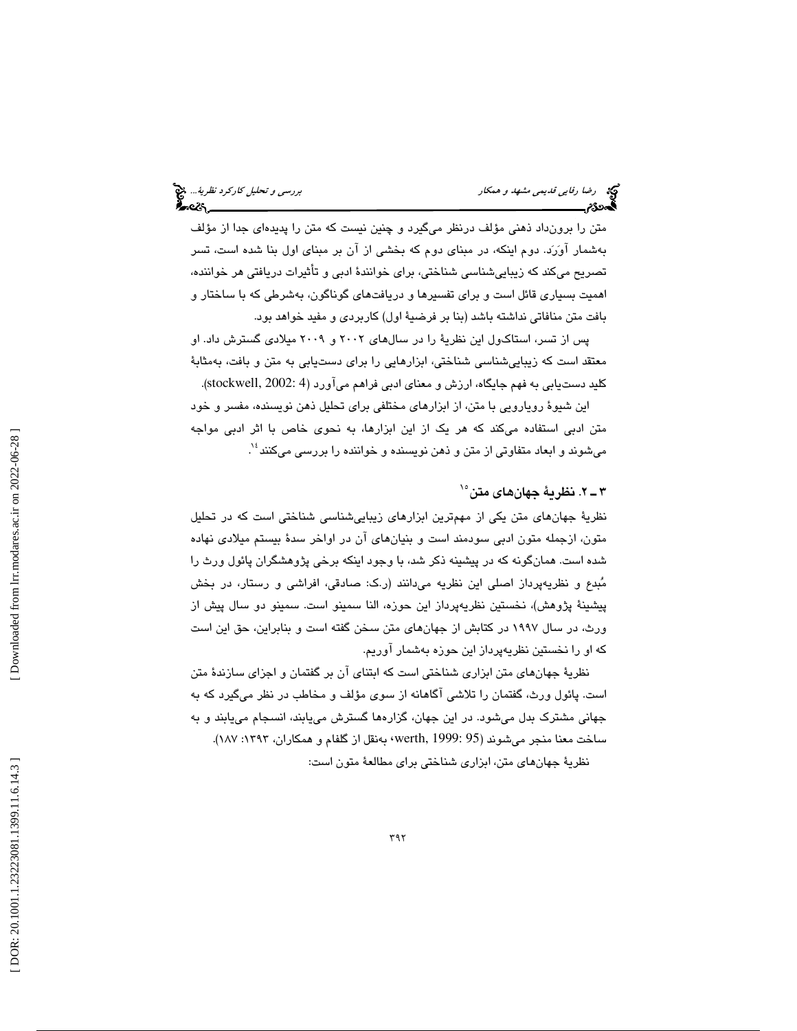متن را برونداد ذهني مؤلف درنظر ميگيرد و چنين نيست كه متن را پديدهاي جدا از مؤلف بهشمار آورد. دوم اينكه، در مبناي دوم كه بخشي از آن بر مبناي اول بنا شده است، تسر تصريح ميكند كه زيباييشناسي شناختي، براي خوانندة ادبي و تأثيرات دريافتي هر خواننده، اهميت بسياري قائل است و براي تفسيرها و دريافتهاي گوناگون، بهشرطي كه با ساختار و بافت متن منافاتي نداشته باشد (بنا بر فرضية اول) كاربردي و مفيد خواهد بود.

پس از تسر، استاكول اين نظرية را در سالهاي 2002 و 2009 ميلادي گسترش داد. او معتقد است كه زيباييشناسي شناختي، ابزارهايي را براي دستيابي به متن و بافت، بهمثابة كليد دستـيابي به فهم جايگاه، ارزش و معناي ادبي فراهم ميآورد (4 :stockwell, 2002).

اين شيوة رويارويي با متن، از ابزارهاي مختلفي براي تحليل ذهن نويسنده، مفسر و خود متن ادبي استفاده ميكند كه هر يك از اين ابزارها، به نحوي خاص با اثر ادبي مواجه میشوند و ابعاد متفاوتی از متن و ذهن نویسنده و خواننده را بررس*ی* میکنند<sup>؛ ٬</sup>.

# 2ـ 3 . نظرية جهانهاي متن 15

نظرية جهانهاي متن يكي از مهمترين ابزارهاي زيباييشناسي شناختي است كه در تحليل متون، ازجمله متون ادبي سودمند است و بنيانهاي آن در اواخر سدة بيستم ميلادي نهاده شده است. همانگونه كه در پيشينه ذكر شد، با وجود اينكه برخي پژوهشگران پائول ورث را مُبدع و نظريهپرداز اصلي اين نظريه ميدانند (ر.ک: صادقي، افراشي و رستار، در بخش پيشينة پژوهش)، نخستين نظريهپرداز اين حوزه، النا سمينو است. سمينو دو سال پيش از ورث، در سال 1997 در كتابش از جهانهاي متن سخن گفته است و بنابراين، حق اين است كه او را نخستين نظريهپرداز اين حوزه بهشمار آوريم.

نظرية جهانهاي متن ابزاري شناختي است كه ابتناي آن بر گفتمان و اجزاي سازندة متن است. پائول ورث، گفتمان را تلاشي آگاهانه از سوي مؤلف و مخاطب در نظر ميگيرد كه به جهاني مشترك بدل ميشود. در اين جهان، گزارهها گسترش مييابند، انسجام مييابند و به ساخت معنا منجر ميشوند (95 :werth, 1999 ) بهنقل از گلفام و همكاران، ١٣٩٣: ١٨٧).

نظرية جهانهاي متن، ابزاري شناختي براي مطالعة متون است: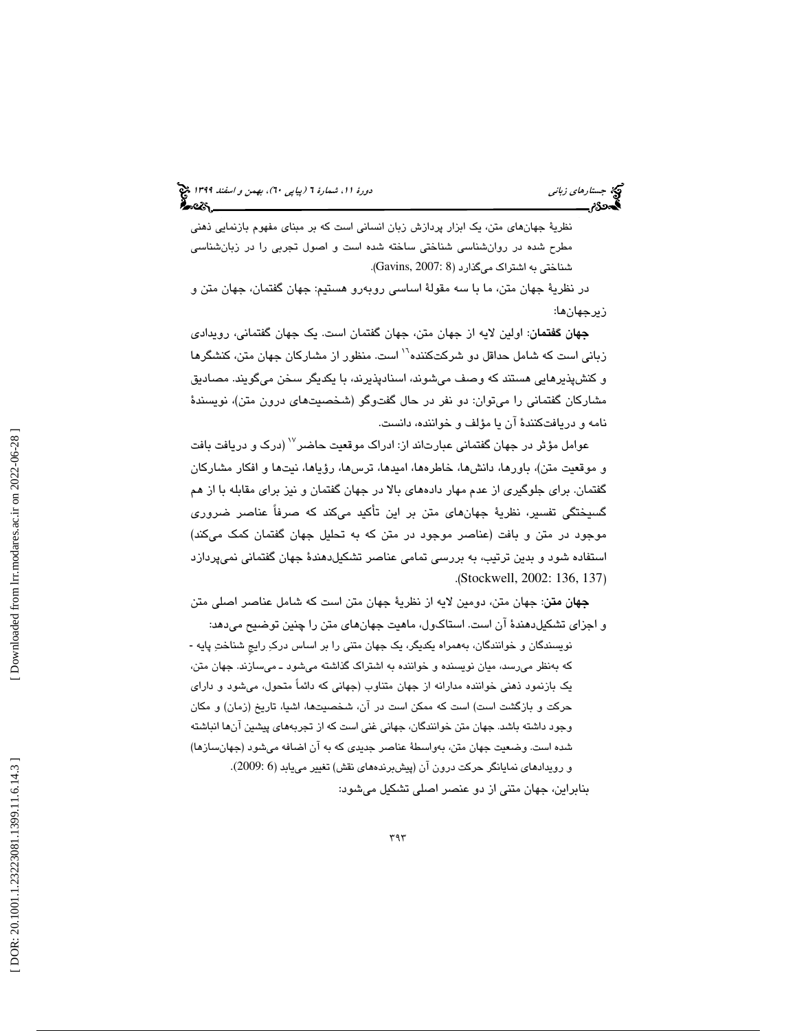نظرية جهانهاي متن، يک ابزار پردازش زبان انساني است که بر مبناي مفهوم بازنمايي ذهني مطرح شده در روانشناسي شناختي ساخته شده است و اصول تجربي را در زبانشناسي شناختي به اشتراک ميگذارد (Gavins, 2007: 8).

در نظرية جهان متن، ما با سه مقولة اساسي روبهرو هستيم: جهان گفتمان، جهان متن و زيرجهان ها:

جهان گفتمان: اولين لايه از جهان متن، جهان گفتمان است. يك جهان گفتماني، رويدادي زبانی است كه شامل حداقل دو شركتكننده<sup>۱٬۱</sup> است. منظور از مشاركان جهان متن، كنشگرها و كنشپذيرهايي هستند كه وصف ميشوند، اسنادپذيرند، با يكديگر سخن ميگويند. مصاديق مشاركان گفتماني را ميتوان: دو نفر در حال گفتوگو (شخصيتهاي درون متن)، نويسندة نامه و دريافتكنندة آن يا مؤلف و خواننده، دانست.

عوامل مؤثر در جهان گفتمانی عبارتاند از: ادراک موقعیت حاضر<sup>۱۷</sup> (درک و دریافت بافت و موقعيت متن)، باورها، دانشها، خاطرهها، اميدها، ترسها، رؤياها، نيتها و افكار مشاركان گفتمان. براي جلوگيري از عدم مهار دادههاي بالا در جهان گفتمان و نيز براي مقابله با از هم گسيختگي تفسير، نظرية جهانهاي متن بر اين تأكيد ميكند كه صرفاً عناصر ضروري موجود در متن و بافت (عناصر موجود در متن كه به تحليل جهان گفتمان كمك ميكند) ستفاده شود و بدين ترتيب، به بررسي تمامي عناصر تشكيلدهندة جهان گفتماني نميپردازد ا .(Stockwell, 2002: 136, 137 )

جهان متن: جهان متن، دومين لايه از نظرية جهان متن است كه شامل عناصر اصلي متن و اجزاي تشكيلدهندة آن است. استاكول، ماهيت جهانهاي متن را چنين توضيح ميدهد:

نويسندگان و خوانندگان، به همراه يكديگر، يك جهان متني را بر اساس دركِ رايج شناختِ پايه -به كه نظر ميرسد، ميان نويسنده و خواننده به اشتراك گذاشته ميشود ـ ميسازند. جهان متن، يک بازنمود ذهني خواننده مدارانه از جهان متناوب (جهاني که دائماً متحول، ميشود و داراي حركت و بازگشت است) است كه ممكن است در آن، شخصيت ها، اشيا، تاريخ ( زمان و) مكان وجود داشته باشد. جهان متن خوانندگان، جهاني غني است كه از تجربههاي پيشين آنها انباشته شده است. وضعيت جهان متن، به واسطة عناصر جديدي هب كه آن اضافه ميشود ( جهانسازها) و رويدادهای نمايانگر حرکت درون آن (پيشبرندههای نقش) تغيير مييابد (6 :2009). بنابراين، جهان متني از دو عنصر اصلي تشكيل ميشود: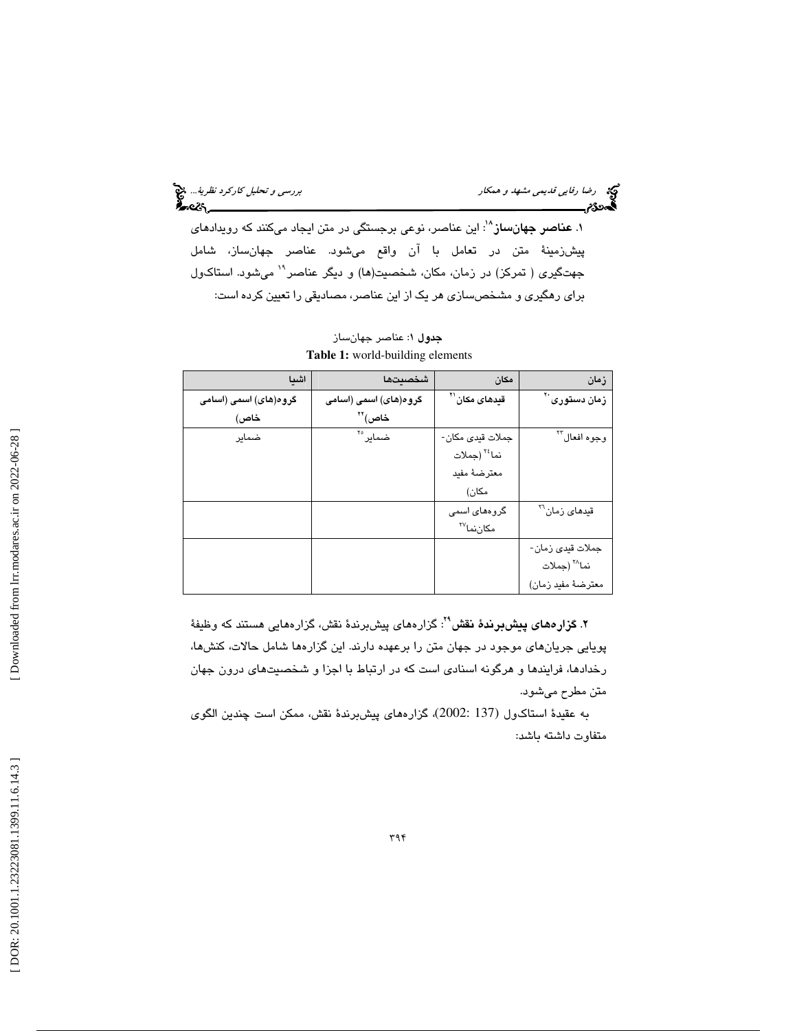رس*تی و تحليل كاركرد نظرية..*.. پنج تصميم و هم*كار بررسي و تحليل كاركرد نظرية..*.. پنج تحليل كاركرد *نظرية...*<br>**المحمدى[***ت***مريخ لله عند الله عند الله عند الله عند الله عند الله عند الله عند الله عند الله عند الله عند الله** 

۱. **عناصر جهانساز**<sup>^۱</sup>: این عناصر، نوعی برجستگی در متن ایجاد میكنند كه رویداد*ه*ای پيشزمينة متن در ت عامل با آن واقع ميشود. عناصر جهانساز، شامل جهتگيري ( تمركز) در زمان، مكان، شخصيت(ها) و ديگر عناصر<sup>11</sup> ميشود. استاكول براي رهگيري و مشخصسازي هر يک از اين عناصر، مصاديقي را تعيين كرده است:

| اشيا                  | شخصيتها               | مكان                               | زمان                               |
|-----------------------|-----------------------|------------------------------------|------------------------------------|
| گروە(ھای) اسمی (اسامی | گروه(های) اسمی (اسامی | ق <b>ی</b> دهای مکان <sup>۲۱</sup> | زمان دس <b>تو</b> ری <sup>۲۰</sup> |
| خاص)                  | خاص)"                 |                                    |                                    |
| ضمایر                 | ضمایر° <sup>۲</sup>   | جملات قيدي مكان-                   | وجوه افعال™                        |
|                       |                       | نما <sup>٢٤</sup> (جملات           |                                    |
|                       |                       | معترضهٔ مفید                       |                                    |
|                       |                       | مكان)                              |                                    |
|                       |                       | گروههای اسمی                       | قید <i>ه</i> ای زمان <sup>۲۲</sup> |
|                       |                       | مکانِنماَ <sup>۲۷</sup>            |                                    |
|                       |                       |                                    | جملات قيدى زمان-                   |
|                       |                       |                                    | نما^` (جملات                       |
|                       |                       |                                    | معترضة مفيد زمان)                  |

جدول 1: عناصر جهانساز **Table 1:** world-building elements

۲. **گزارههای پیشبرندهٔ نقش<sup>۲۹</sup>: گزارههای پیشبرندهٔ نقش، گزارههایی هستند که وظیفهٔ** پويايي جريانهاي موجود در جهان متن را برعهده دارند. اين گزاره ها شامل حالات، كنش ها، رخدادها، فرايندها و هرگونه اسنادی است كه در ارتباط با اجزا و شخصيتهای درون جهان<br>متن مطرح میشود.

به عقيدة استاكـول (137 :2002)، گزارههاي پيشبرندهٔ نقش، ممكن است چندين الگوی متفاوت داشته باشد: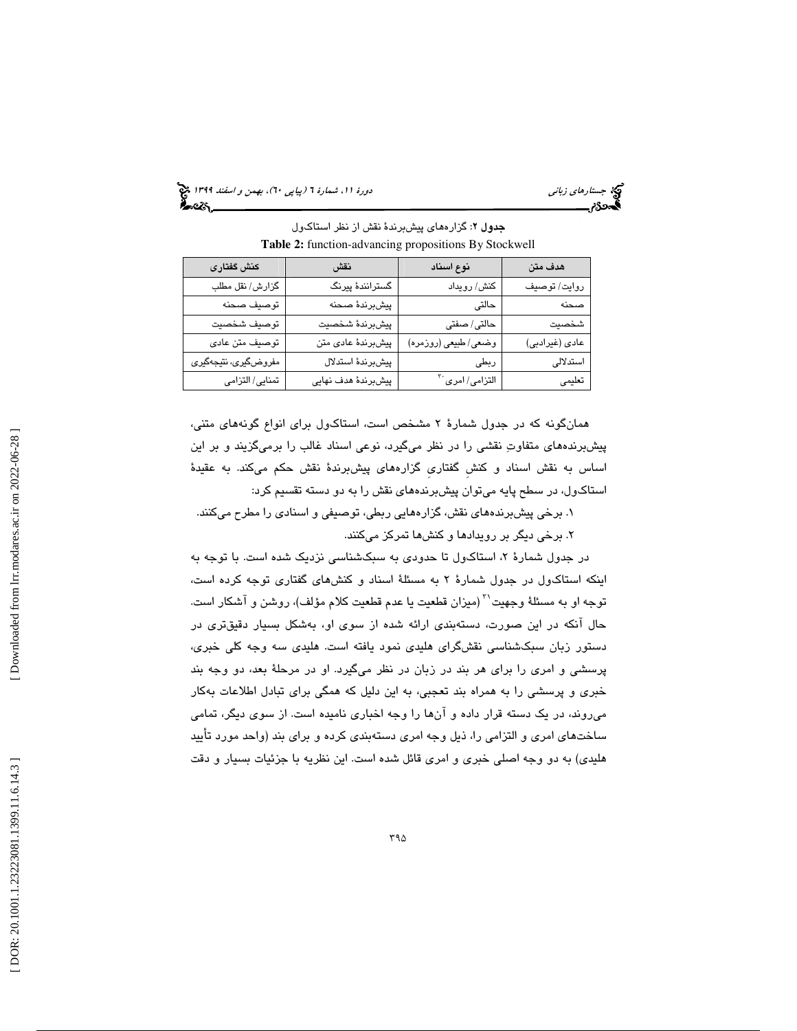(پياپي 60)، بهمن و اسفند 1399 جستارهاي زباني دورة ،11 شمارة 6

| هدف متن        | نوع اسناد                   | نقش                 | كنش گفتارى           |
|----------------|-----------------------------|---------------------|----------------------|
| روايت/ توصيف   | کنش/ رویداد                 | گسترانندهٔ پیرنگ    | گزارش/ نقل مطلب      |
| صحنه           | حالتى                       | پيشبرندۀ صحنه       | توصيف صحنه           |
| شخصيت          | حالتى/صفتى                  | پيشبرندۀ شخصيت      | توصيف شخصيت          |
| عادی (غیرادبی) | وضعي/طبيعي (روزمره)         | پیشبرندهٔ عادی متن  | توصيف متن عادي       |
| استدلالى       | ربطى                        | پیشبرندهٔ استدلال   | مفروضگیری، نتیجهگیری |
| تعليمى         | التزامی/ امری <sup>۳۰</sup> | پیشبرندهٔ هدف نهایی | تمنايي/ التزامي      |

جدول 2: گزارههاي پيشبرندة نقش از نظر استاكول **Table 2:** function-advancing propositions By Stockwell

همانگونه كه در جدول شمارة 2 مشخص است، استاكول براي انواع گونههاي متني، پيشبرندههاي متفاوت نقشي را در نظر ميگيرد، نوعي اسناد غالب را برميگزيند و بر اين اساس به نقش اسناد و كنشِ گفتاريِ گزارههاي پيشبرندة نقش حكم ميكند. به عقيدة استاكول، در سطح پايه ميتوان پيشبرندههاي نقش را به دو دسته تقسيم كرد:

. برخي پيشبرندههاي نقش، گزارههايي ربطي، توصيفي و اسنادي را مطرح ميكنند. 1

۲. برخی دیگر بر رویدادها و کنشها تمرکز میکنند.

در جدول شمارهٔ ۲، استاكول تا حدودی به سبکشناسی نزدیک شده است. با توجه به اينكه استاكول در جدول شمارة 2 به مسئلة اسناد و كنشهاي گفتاري توجه كرده است، توجه او به مسئلهٔ وجهيت $^{\gamma}$  (ميزان قطعيت يا عدم قطعيت كلام مؤلف)، روشن و آشكار است. حال انكه در اين صورت، دستهبندی ارائه شده از سوی او، بهشكل بسيار دقيقتری در دستور زبان سبكشناسي نقشگراي هليدي نمود يافته است. هليدي سه وجه كلي خبري، پرسشي و امري را براي هر بند در زبان در نظر ميگيرد. او در مرحلة بعد، دو وجه بند خبري و پرسشي را به همراه بند تعجبي، به اين دليل كه همگي براي تبادل اطلاعات بهكار ميروند، در يك دسته قرار داده و آنها را وجه اخباري ناميده است. از سوي ديگر، تمامي ساختهاي امري و التزامي را، ذيل وجه امري دستهبندي كرده و براي بند (واحد مورد تأييد هليدي) به دو وجه اصلي خبري و امري قائل شده است. اين نظريه با جزئيات بسيار و دقت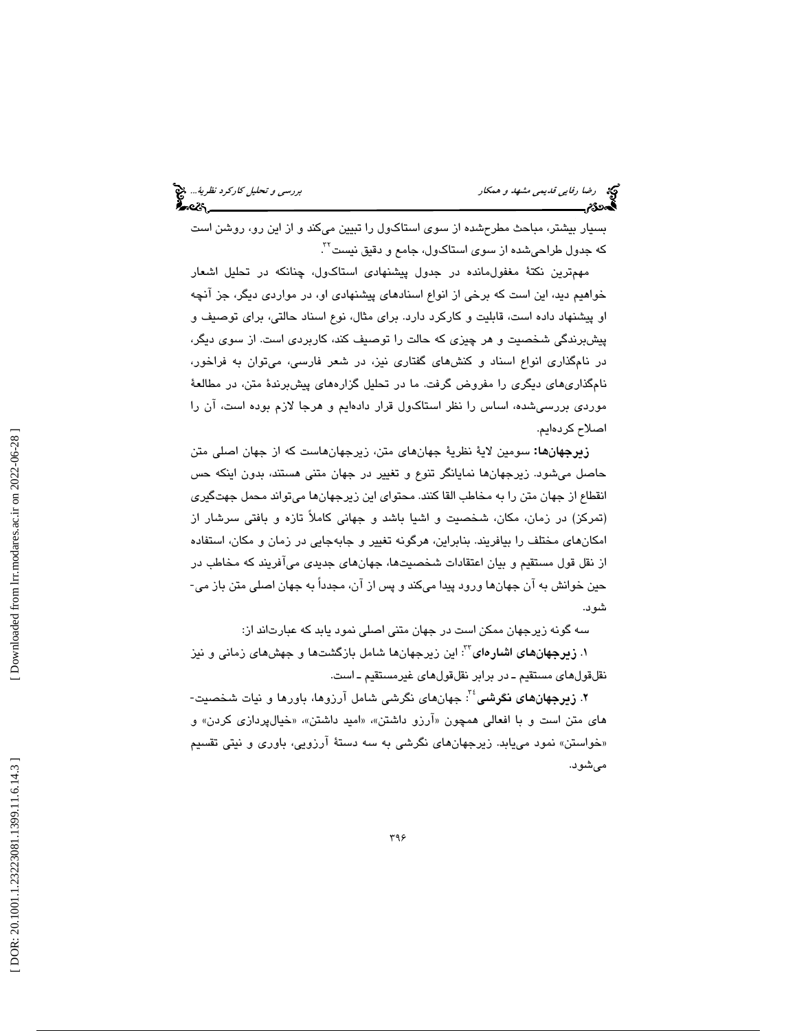بسيار بيشتر، مباحث مطرحشده از سوي استاكول را تبيين ميكند و از اين رو، روشن است  $^{17}$ 2 حدول طراحیشده از سوی استاکول، جامع و دقیق نیست .

مهمترين نكتة مغفولمانده در جدول پيشنهادي استاكول، چنانكه در تحليل اشعار خواهيم ديد، اين است كه برخي از انواع اسنادهاي پيشنهادي او، در مواردي ديگر، جز آنچه او پيشنهاد داده است، قابليت و كاركرد دارد. براي مثال، نوع اسناد حالتي، براي توصيف و پيشبرندگي شخصيت و هر چيزي كه حالت را توصيف كند، كاربردي است. از سوي ديگر، در نامگذاري انواع اسناد و كنشهاي گفتاري نيز، در شعر فارسي، ميتوان به فراخور، نامگذاريهاي ديگري را مفروض گرفت. ما در تحليل گزارههاي پيشبرندة متن، در مطالعة موردي بررسيشده، اساس را نظر استاكول قرار دادهايم و هرجا لازم بوده است، آن را اصلاح كردهايم.

<mark>زيرجهانها:</mark> سومين لايهٔ نظريهٔ جهانهای متن، زيرجهانهاست كه از جهان اصلی متن حاصل ميشود. زيرجهانها نمايانگر تنوع و تغيير در جهان متني هستند، بدون اينكه حس انقطاع از جهان متن را به مخاطب القا كنند. محتواي اين زيرجهانها ميتواند محمل جهتگيري (تمركز) در زمان، مكان، شخصيت و اشيا باشد و جهاني كاملاً تازه و بافتي سرشار از امكانهاي مختلف را بيافريند. بنابراين، هرگونه تغيير و جابهجايي در زمان و مكان، استفاده از نقل قول مستقيم و بيان اعتقادات شخصيتها، جهانها*ی* جديدی میآفريند که مخاطب در<br>حين خوانش به آن جهانها ورود پيدا ميکند و پس از آن، مجدداً به جهان اصلی متن باز می-شود.

سه گونه زيرجهان ممكن است در جهان متني اصلي نمود يابد كه عبارتاند از:

۰۱ **زیرجهانهای اشارهای**<sup>۲۲</sup> این زیرجهانها شامل بازگشتها و جهشهای زمانی و نیز<br>نقلقولهای مستقیم ـ در برابر نقلقولهای غیرمستقیم ـ است.

۲. **زیرجهانهای نگرشی** ٔ ٔ: جهانهای نگرشی شامل آرزوها، باورها و نیات شخصیت-هاي متن است و با افعالي همچون «آرزو داشتن»، «اميد داشتن»، «خيالپردازي كردن» و «خواستن» نمود مییابد. زیرجهانهای نگرشی به سه دستهٔ ارزویی، باوری و نیتی تقسیم ميشود .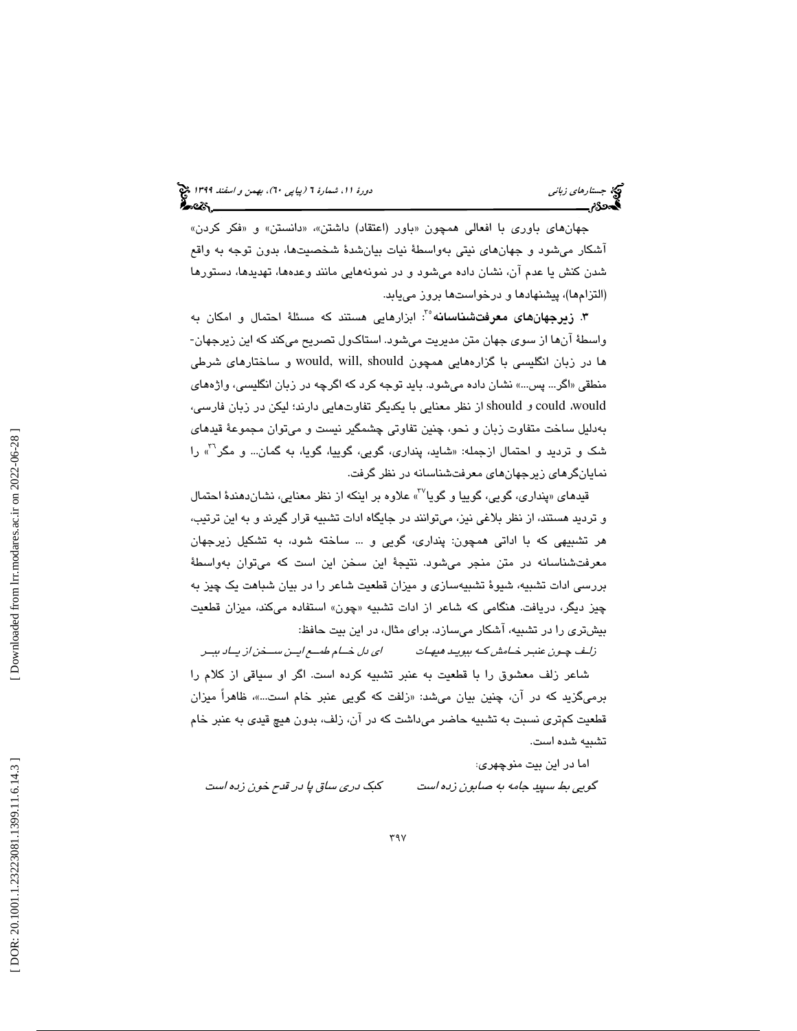جهانهای باوری با افعالی همچون «باور (اعتقاد) داشتن»، «دانستن» و «فکر کردن» آشكار ميشود و جهانهاي نيتي بهواسطة نيات بيانشدة شخصيتها، بدون توجه به واقع شدن كنش يا عدم آن، نشان داده ميشود و در نمونههايي مانند وعدهها، تهديدها، دستورها (التزامها)، پيشنهادها و درخواستها بروز مييابد.

**۳. زیرجهانهای معرفتشناسانه** ٔ ٔ: ابزارهایی هستند که مسئلهٔ احتمال و امکان به واسطة آن ها از سوي جهان متن مديريت ميشود. استاك ول تصريح مي كند كه اين زيرجهان- ها در زبان انگليسي با گزارههايي همچون should ,will ,would و ساختارهاي شرطي منطقي « اگر... پس...» نشان داده ميشود. بايد توجه كرد كه اگرچه در زبان انگليسي، واژههاي should از نظر معنايي با يكديگر تفاوتهايي دارند؛ ليكن در زبان فارسي، could و ،would بهدليل ساخت متفاوت زبان و نحو، چنين تفاوتي چشمگير نيست و ميتوان مجموعة قيدهاي شک و تردید و احتمال ازجمله: «شاید، پنداری، گویی، گوییا، گویا، به گمان... و مگر<sup>۳۱</sup>» را<br>نمایانگرهای زیرجهانهای معرفتشناسانه در نظر گرفت.

قیدهای «پنداری، گویی، گوییا و گویا<sup>۲۷</sup>» علاوه بر اینکه از نظر معنایی، نشاندهندهٔ احتمال و ترديد هستند، از نظر بلاغي نيز، ميتوانند در جايگاه ادات تشبيه قرار گيرند و به اين ترتيب، هر تشبيهي كه با اداتي همچون: پنداري، گويي و ... ساخته شود، به تشكيل زيرجهان معرفتشناسانه در متن منجر ميشود. نتيجة اين سخن اين است كه ميتوان بهواسطة بررسي ادات تشبيه، شيوة تشبيهسازي و ميزان قطعيت شاعر را در بيان شباهت يك چيز به چیز دیگر، دریافت. هنگامی که شاعر از ادات تشبیه «چون» استفاده میکند، میزان قطعیت بيشتري را در تشبيه، آشكار ميسازد. براي مثال، در اين بيت حافظ:

زلـف چــون عنبـر خـامش كـه ببويــد هيهـات اي دل خــام طمــع ايــن ســخن از يــاد ببــر شاعر زلف معشوق را با قطعيت به عنبر تشبيه كرده است. اگر او سياقي از كلام را برمیگزيد که در ان، چنين بيان میشد: «زلفت که گويی عنبر خام است…»، ظاهرا ميزان قطعيت كمتري نسبت به تشبيه حاضر ميداشت كه در آن، زلف، بدون هيچ قيدي به عنبر خام تشبيه شده است.

اما در اين بيت منوچهري :

گويي بط سپيد جامه به صابون زده است

كبك دري ساق پا در قدح خون زده است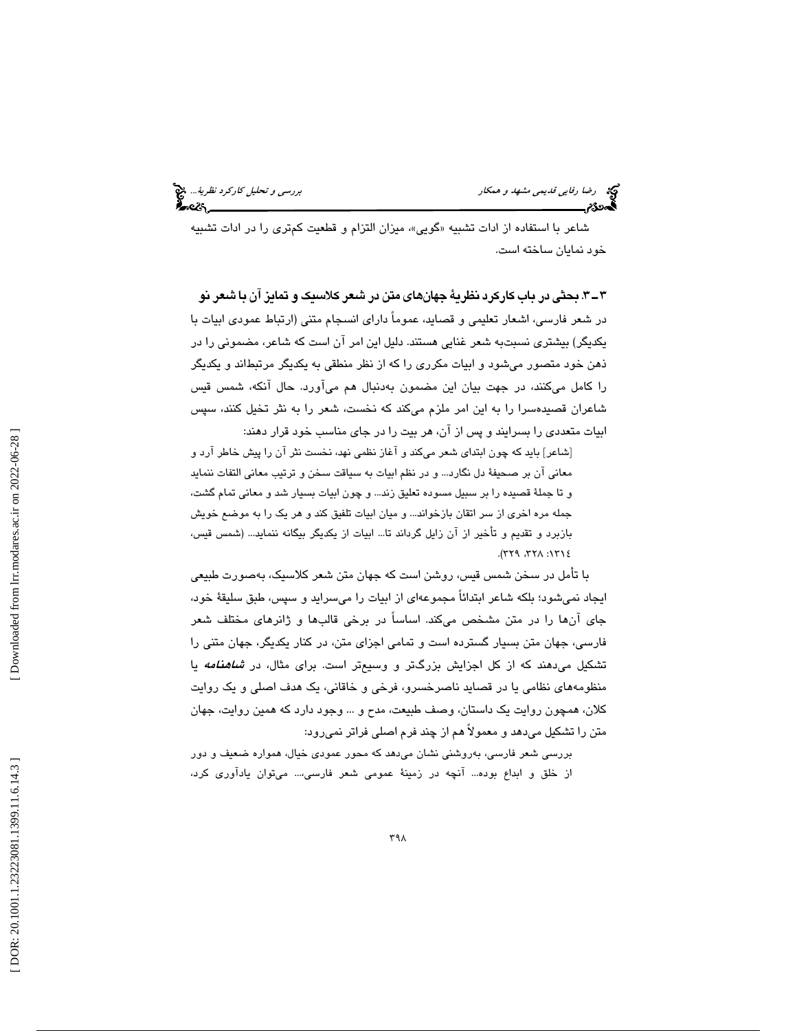شاعر با استفاده از ادات تشبيه «گويى»، ميزان التزام و قطعيت كمترى را در ادات تشبيه خود نمايان ساخته است.

3ـ 3 . بحثي در باب كاركرد نظرية جهانهاي متن در شعر كلاسيك و تمايز آن با شعر نو در شعر فارسي، اشعار تعليمي و قصايد، عموماً داراي انسجام متني (ارتباط عمودي ابيات با يكديگر) بيشتري نسبتبه شعر غنايي هستند. دليل اين امر آن است كه شاعر، مضموني را در ذهن خود متصور ميشود و ابيات مكرري را كه از نظر منطقي به يكديگر مرتبطاند و يكديگر را كامل ميكنند، در جهت بيان اين مضمون بهدنبال هم ميآورد. حال آنكه، شمس قيس شاعران قصيدهسرا را به اين امر ملزم ميكند كه نخست، شعر را به نثر تخيل كنند، سپس ابيات متعددي را بسرايند و پس از آن، هر بيت را در جاي مناسب خود قرار دهند:

[شاعر] باید که چون ابتدای شعر میکند و اغاز نظمی نهد، نخست نثر ان را پیش خاطر ارد و معاني آن بر صحيفة دل نگارد... و در نظم ابيات به سياقت سخن و ترتيب معاني التفات ننمايد و تا جملهٔ قصیده را بر سبیل مسوده تعلیق زند... و چون ابیات بسیار شد و معانی تمام گشت، جمله مره اخرى از سر اتقان بازخواند... و ميان ابيات تلفيق كند و هر يك را به موضع خويش بازبرد و تقديم و تأخير از آن زايل گرداند تا... ابيات از يكديگر بيگانه ننمايد... (شمس قيس،  $3171:$   $\lambda$   $77\lambda$  :  $171\epsilon$ 

با تأمل در سخن شمس قيس، روشن است كه جهان متن شعر كلاسيك، بهصورت طبيعي ايجاد نميشود؛ بلكه شاعر ابتدائاً مجموعهاي از ابيات را ميسرايد و سپس، طبق سليقة خود، جاي آنها را در متن مشخص ميكند. اساساً در برخي قالبها و ژانرهاي مختلف شعر فارسي، جهان متن بسيار گسترده است و تمامي اجزاي متن، در كنار يكديگر، جهان متني را تشكيل ميدهند كه از كل اجزايش بزرگتر و وسيعتر است. براي مثال، در *شاهنامه* يا منظومههاي نظامي يا در قصايد ناصرخسرو، فرخي و خاقاني، يك هدف اصلي و يك روايت كلان، همچون روايت يك داستان، وصف طبيعت، مدح و ... وجود دارد كه همين روايت، جهان متن را تشكيل ميدهد و معمولاً هم از چند فرم اصلي فراتر نميرود:

برر سي شعر فارسي، به روشني نشان ميدهد كه محور عمودي خيال، همواره ضعيف و دور از خلق و ابداع بوده... آنچه در زمينة عمومي شعر فارسي...، ميتوان يادآوري كرد،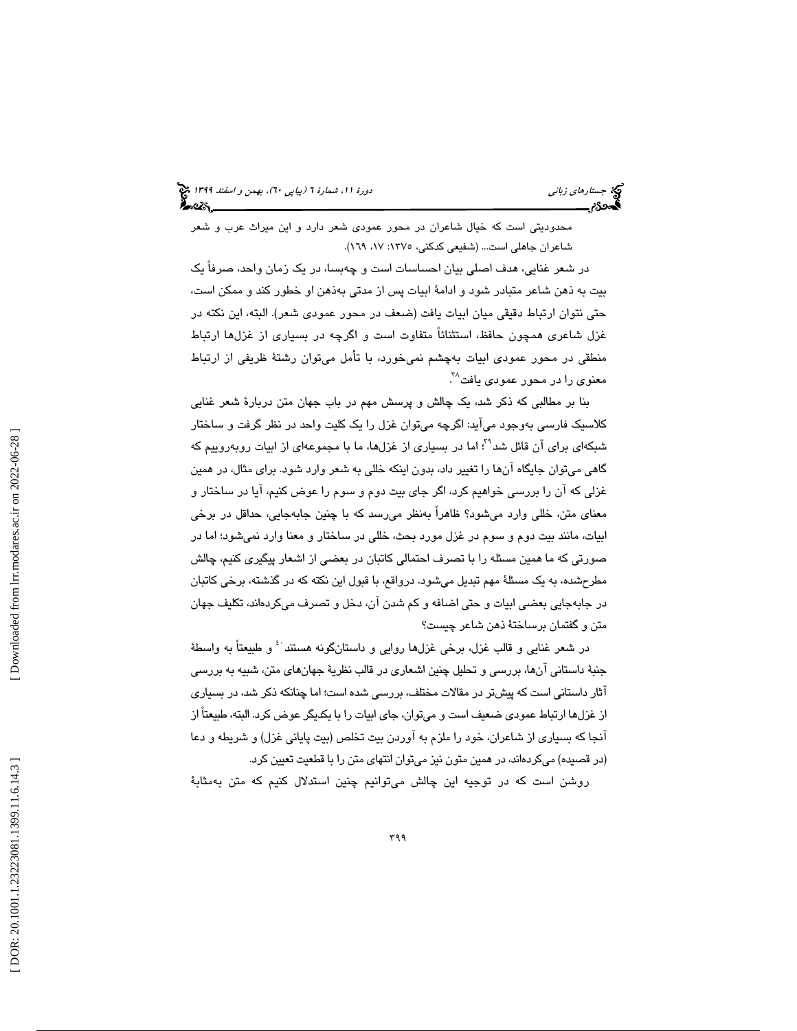محدوديتي است كه خيال شاعران در محور عمودي شعر دارد و اين ميراث عرب و شعر شاعران جاهلي است... (شفيعي كدكني، ١٣٧٥: ١٧، ١٦٩).

در شعر غنايي، هدف اصلي بيان احساسات است و چهبسا، در يك زمان واحد، صرفاً يك بيت به ذهن شاعر متبادر شود و ادامة ابيات پس از مدتي بهذهن او خطور كند و ممكن است، حتي نتوان ارتباط دقيقي ميان ابيات يافت (ضعف در محور عمودي شعر). البته، اين نكته در غزل شاعري همچون حافظ، استثنائاً متفاوت است و اگرچه در بسياري از غزلها ارتباط منطقي در محور عمودي ابيات بهچشم نميخورد، با تأمل ميتوان رشتة ظريفي از ارتباط معنو*ی* را در محور عمود*ی* یافت<sup>۳۸</sup>.

بنا بر مطالبي كه ذكر شد، يك چالش و پرسش مهم در باب جهان متن دربارة شعر غنايي كلاسيك فارسي بهوجود ميآيد: اگرچه ميتوان غزل را يك كليت واحد در نظر گرفت و ساختار شبكهاي براي آن قائل شد"؟ اما در بسياري از غزلها، ما با مجموعهاي از ابيات روبهروييم كه گاهي ميتوان جايگاه آنها را تغيير داد، بدون اينكه خللي به شعر وارد شود. براي مثال، در همين غزلي كه آن را بررسي خواهيم كرد، اگر جاي بيت دوم و سوم را عوض كنيم، آيا در ساختار و معناي متن، خللي وارد ميشود؟ ظاهراً بهنظر ميرسد كه با چنين جابهجايي، حداقل در برخي ابيات، مانند بيت دوم و سوم در غزل مورد بحث، خللي در ساختار و معنا وارد نميشود؛ اما در صورتي كه ما همين مسئله را با تصرف احتمالي كاتبان در بعضي از اشعار پيگيري كنيم، چالش مطرحشده، به يك مسئلة مهم تبديل ميشود. درواقع، با قبول اين نكته كه در گذشته، برخي كاتبان در جابهجايي بعضي ابيات و حتي اضافه و كم شدن آن، دخل و تصرف ميكردهاند، تكليف جهان متن و گفتمان برساختة ذهن شاعر چيست؟

در شعر غنايي و قالب غزل، برخي غزلها روايي و داستانگونه هستند ک و طبيعتاً به واسطهٔ جنبة داستاني آنها، بررسي و تحليل چنين اشعاري در قالب نظرية جهانهاي متن، شبيه به بررسي آثار داستاني است كه پيشتر در مقالات مختلف، بررسي شده است؛ اما چنانكه ذكر شد، در بسياري از غزلها ارتباط عمودي ضعيف است و ميتوان، جاي ابيات را با يكديگر عوض كرد. البته، طبيعتاً از آنجا كه بسياري از شاعران، خود را ملزم به آوردن بيت تخلص (بيت پاياني غزل) و شريطه و دعا (در قصیده) میكردهاند، در همین متون نیز میتوان انتهای متن را با قطعیت تعیین كرد.

روشن است كه در توجيه اين چالش ميتوانيم چنين استدلال كنيم كه متن بهمثابة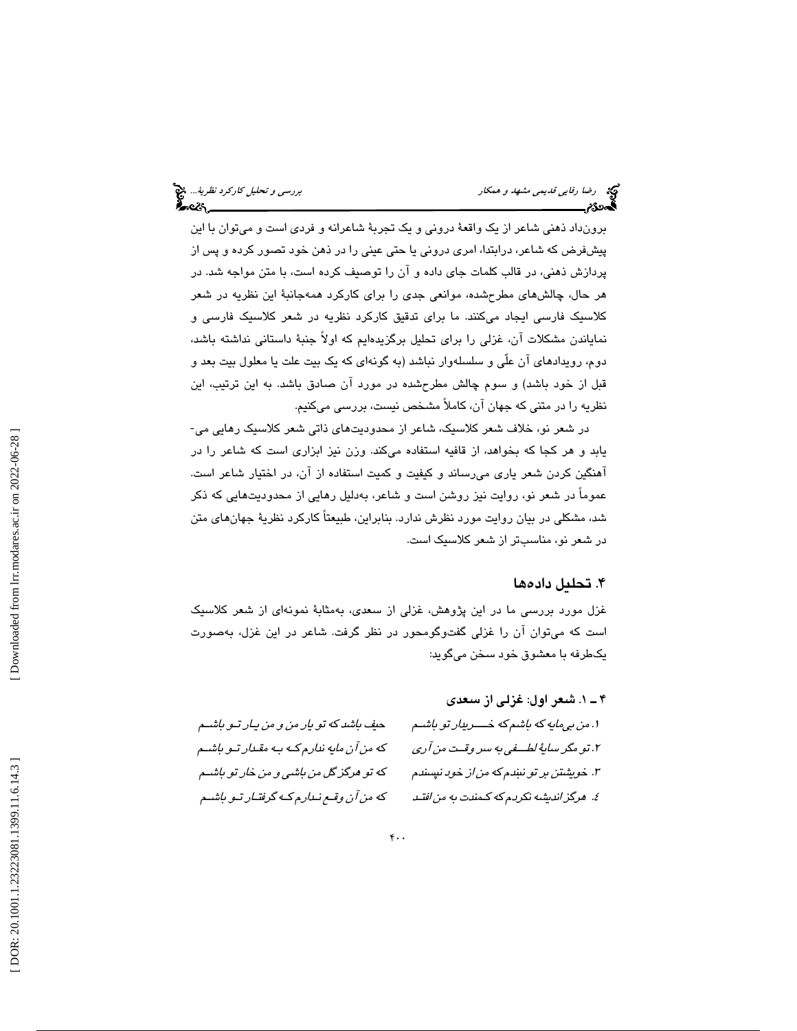برونداد ذهني شاعر از يك واقعة دروني و يك تجربة شاعرانه و فردي است و ميتوان با اين پيشفرض كه شاعر، درابتدا، امري دروني يا حتي عيني را در ذهن خود تصور كرده و پس از پردازش ذهني، در قالب كلمات جاي داده و آن را توصيف كرده است، با متن مواجه شد. در هر حال، چالشهاي مطرحشده، موانعي جدي را براي كاركرد همهجانبة اين نظريه در شعر كلاسيك فارسي ايجاد ميكنند. ما براي تدقيق كاركرد نظريه در شعر كلاسيك فارسي و نماياندن مشكلات آن، غزلي را براي تحليل برگزيدهايم كه اولاً جنبة داستاني نداشته باشد، دوم، رويدادهاي آن علّي و سلسلهوار نباشد (به گونهاي كه يك بيت علت يا معلول بيت بعد و قبل از خود باشد) و سوم چالش مطرحشده در مورد آن صادق باشد. به اين ترتيب، اين نظريه را در متني كه جهان آن، كاملاً مشخص نيست، بررسي ميكنيم.

در شعر نو، خلاف شعر كلاسيك، شاعر از محدوديتهاي ذاتي شعر كلاسيك رهايي مي- يابد و هر كجا كه بخواهد، از قافيه استفاده ميكند. وزن نيز ابزاري است كه شاعر را در آهنگين كردن شعر ياري ميرساند و كيفيت و كميت استفاده از آن، در اختيار شاعر است. عموماً در شعر نو، روايت نيز روشن است و شاعر، بهدليل رهايي از محدوديتهايي كه ذكر شد، مشكلي در بيان روايت مورد نظرش ندارد. بنابراين، طبيعتاً كاركرد نظرية جهانهاي متن در شعر نو، مناسبتر از شعر كلاسيك است.

### . 4 تحليل دادهها

غزل مورد بررسي ما در اين پژوهش، غزلي از سعدي، بهمثابة نمونهاي از شعر كلاسيك است كه ميتوان آن را غزلي گفتوگومحور در نظر گرفت. شاعر در اين غزل، بهصورت يكطرفه با معشوق خود سخن ميگويد:

. 1 ـ 4 شعر اول: غزلي از سعدي .1 من بيمايه كه باشم كه خــــريدار تو باشـم حيف باشد كه تو يار من و من يـار تـو باشـم .2 تو مگرساية لطـــفي به سر وقــت من آري كه من آن مايه ندارم كـه بـه مقـدار تـو باشـم ۰۳. خويشتن بر تو نښدم كه م*ن ا*ز خود نپسندم كه تو هرگز گل من باشي و من خار تو باشـم .4 هرگز انديشه نكردم كه كـمندت به من افتـد كه من آن وقـع نـدارم كـه گرفتـار تـو باشـم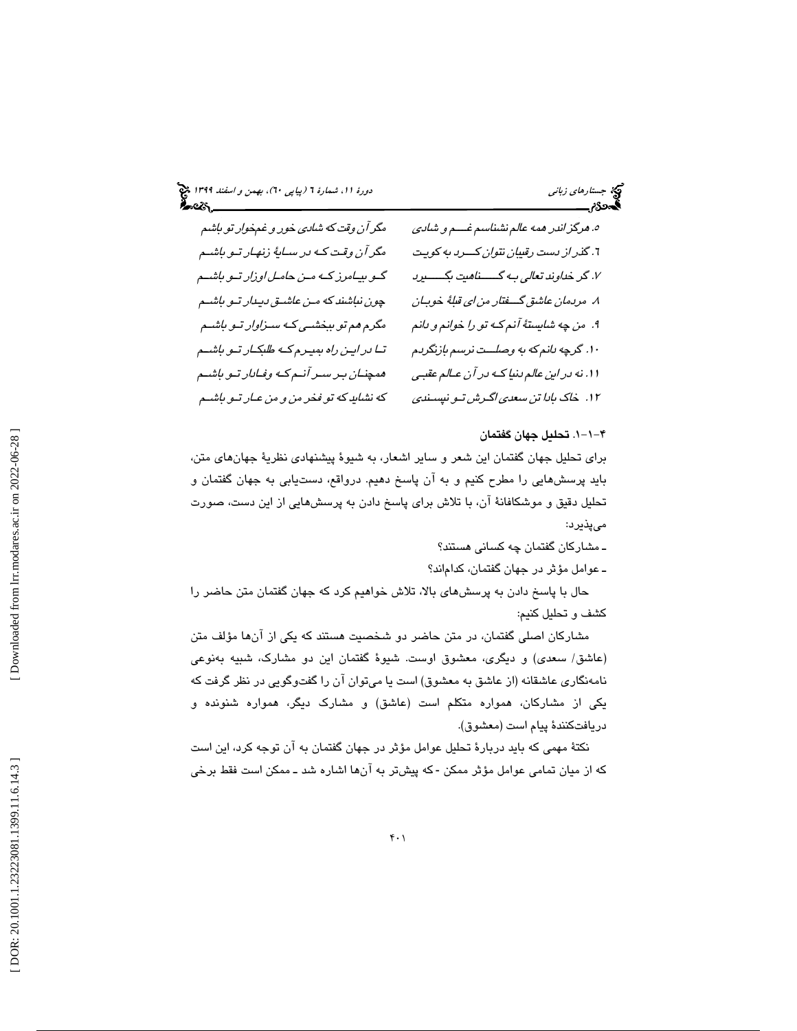(پياپي 60)، بهمن و اسفند 1399 جستارهاي زباني دورة ،11 شمارة 6

| مگر آن وقت که شادی خور و غمخوار تو باشم   | ه. مرگز اندر مهه عالم نشناسم غسم و شادی                       |
|-------------------------------------------|---------------------------------------------------------------|
| مگر آن وقت کـه در سـايهٔ زنهـار تـو باشـم | <sub>1</sub> . گذر <i>از دست رقیبان نتوان کـــرد به کوی</i> ت |
| گو بیامرز که من حامل اوزار تو باشم        | ٧. گر خداوند تعالى بـه گـــــناهيت بگــــــيرد                |
| چون نباشند که مـن عاشـق دیـدار تـو باشـم  | ٨. مردمان عاشق گفتار من اي قلبهٔ خوبان                        |
| مگرم هم تو ببخشمی که سنزاوار تمو باشم     | ۹.  من چه شايستهٔ آنم کـه تو را خوانم و دانم                  |
| تا در این راه بمیرم که طلبکار تو باشم     | ۱۰. گرچه بانم که به وصلــت نرسم بازنگربم                      |
| همچنان بیر سیر آندم کیه وفیادار تیو باشیم | ۱۱. نه در این عالم دنیا کــه در آن عـالم عقبـی                |
| که نشاید که تو فخر من و من عـار تـو باشـم | ۱۲. خاک بادا تن سعدی اگـرش تـو نسٍـندی                        |

### -1-1 4 . تحليل جهان گفتمان

براي تحليل جهان گفتمان اين شعر و ساير اشعار، به شيوة پيشنهادي نظرية جهانهاي متن، بايد پرسشهايي را مطرح كنيم و به آن پاسخ دهيم. درواقع، دستيابي به جهان گفتمان و تحليل دقيق و موشكافانة آن، با تلاش براي پاسخ دادن به پرسشهايي از اين دست، صورت ميپذيرد:

ـ مشاركان گفتمان چه كساني هستند؟

ـ عوامل مؤثر در جهان گفتمان، كداماند؟

حال با پاسخ دادن به پرسشهاي بالا، تلاش خواهيم كرد كه جهان گفتمان متن حاضر را كشف و تحليل كنيم:

مشاركان اصلي گفتمان، در متن حاضر دو شخصيت هستند كه يكي از آنها مؤلف متن (عاشق/ سعدي) و ديگري، معشوق اوست. شيوة گفتمان اين دو مشارك، شبيه بهنوعي نامهنگاري عاشقانه (از عاشق به معشوق) است يا ميتوان آن را گفتوگويي در نظر گرفت كه يكي از مشاركان، همواره متكلم است (عاشق) و مشارك ديگر، همواره شنونده و دريافتكنندة پيام است (معشوق).

نكتة مهمي كه بايد دربارة تحليل عوامل مؤثر در جهان گفتمان به آن توجه كرد، اين است كه از میان تمامی عوامل مؤثر ممكن - كه پیشتر به آنها اشاره شد ـ ممكن است فقط برخی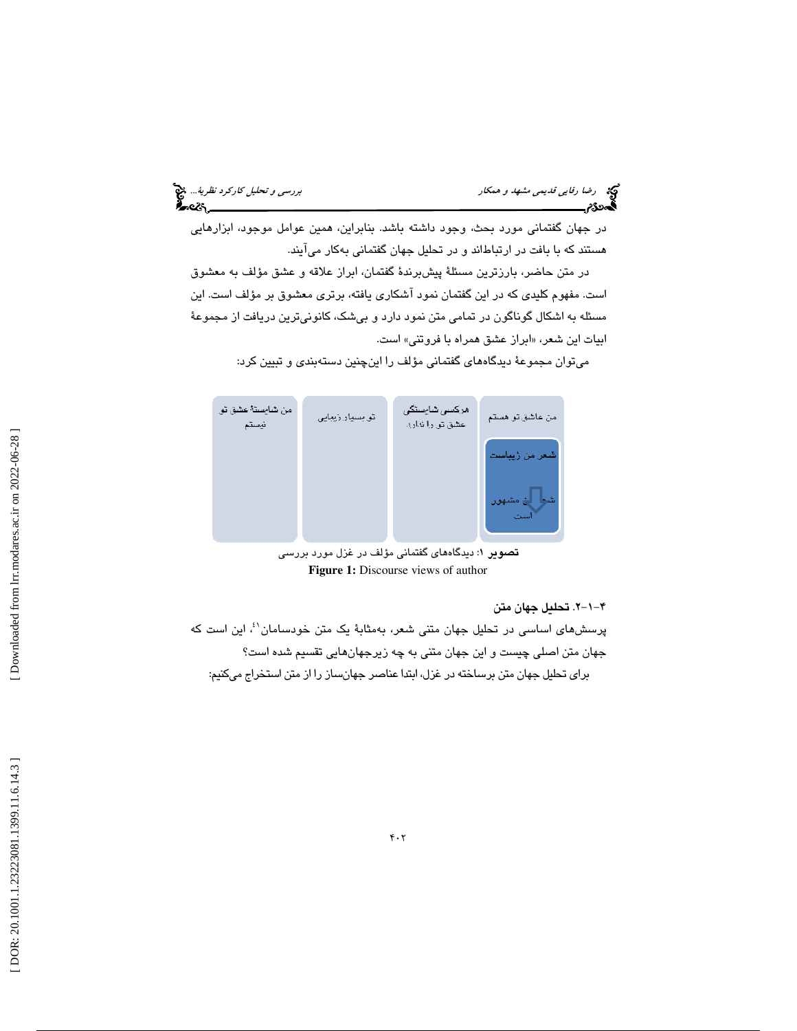| دید.<br>اینچه ارضا ر <i>فایی قدیمی مشهد و همکار</i><br><b>گورد:تر</b> |  |
|-----------------------------------------------------------------------|--|
|                                                                       |  |

در جهان گفتماني مورد بحث، وجود داشته باشد. بنابراين، همين عوامل موجود، ابزارهايي هستند كه با بافت در ارتباطاند و در تحليل جهان گفتماني بهكار ميآيند.

رضا رفايي قديمي مشهد و همكار بررسي و تحليل كاركرد نظرية...

در متن حاضر، بارزترين مسئلة پيشبرندة گفتمان، ابراز علاقه و عشق مؤلف به معشوق است. مفهوم كليدي كه در اين گفتمان نمود آشكاري يافته، برتري معشوق بر مؤلف است. اين مسئله به اشكال گوناگون در تمامي متن نمود دارد و بيشك، كانونيترين دريافت از مجموعة ابیات این شعر، «ابراز عشق همراه با فروتنی» است.

ميتوان مجموعة ديدگاههاي گفتماني مؤلف را اينچنين دستهبندي و تبيين كرد:



<mark>تصویر ۱</mark>: دیدگاههای گفتمانی مؤلف در غزل مورد بررسی **Figure 1:** Discourse views of author

-1-2 4 . تحليل ج هان متن

پرسشهاي اساسي در تحليل جهان متني شعر، بهمثابهٔ يک متن خودسامان<sup>51</sup>، اين است که جهان متن اصلي چيست و اين جهان متني به چه زيرجهانهايي تقسيم شده است؟ براي تحليل جهان متن برساخته در غزل، ابتدا عناصر جهانساز را از متن استخراج ميكنيم: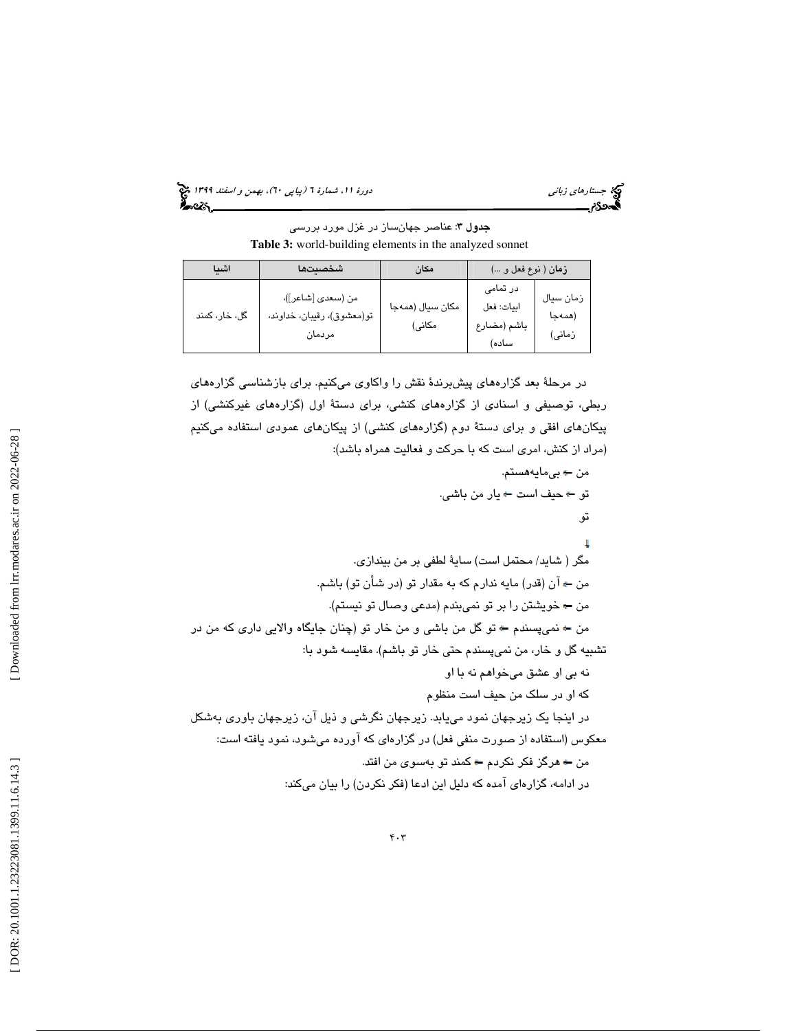(پياپي 60)، بهمن و اسفند 1399 جستارهاي زباني دورة ،11 شمارة 6

**جدول ۳**: عناصر جهانساز در غزل مورد بررس*ی* **Table 3:** world-building elements in the analyzed sonnet

| اشيا          | شخصتتها                                                   | مكان                       | زمان ( نوع فعل و …)                            |                               |
|---------------|-----------------------------------------------------------|----------------------------|------------------------------------------------|-------------------------------|
| گل، خار، کمند | من (سعدي [شاعر])،<br>تو(معشوق)، رقیبان، خداوند،<br>مردمان | مكان سيال (همهجا<br>مكانى) | در تمامی<br>ابيات: فعل<br>باشم (مضارع<br>ساده) | زمان سيال<br>(همەجا<br>زمانی) |

در مرحلة بعد گزارههاي پيشبرندة نقش را واكاوي ميكنيم. براي بازشناسي گزارههاي ربطي، توصيفي و اسنادي از گزارههاي كنشي، براي دستة اول (گزارههاي غيركنشي) از پيكانهاي افقي و براي دستة دوم (گزارههاي كنشي) از پيكانهاي عمودي استفاده ميكنيم (مراد از كنش، امري است كه با حركت و فعاليت همراه باشد):

من بيمايههستم. تو حيف است يار من باشي. تو مگر ( شايد/ محتمل است) ساية لطفي بر من بيندازي. من آن (قدر) مايه ندارم كه به مقدار تو (در شأن تو) باشم. من خويشتن را بر تو نميبندم (مدعي وصال تو نيستم). من نميپسندم تو گل من باشي و من خار تو (چنان جايگاه والايي داري كه من در تشبيه گل و خار، من نميپسندم حتي خار تو باشم). مقايسه شود با: نه بي او عشق ميخواهم نه با او كه او در سلك من حيف است منظوم در اينجا يك زيرجهان نمود مييابد. زيرجهان نگرشي و ذيل آن، زيرجهان باوري بهشكل معكوس (استفاده از صورت منفي فعل) در گزارهاي كه آورده ميشود، نمود يافته است: من هرگز فكر نكردم كمند تو بهسوي من افتد. در ادامه، گزارهاي آمده كه دليل اين ادعا (فكر نكردن) را بيان ميكند: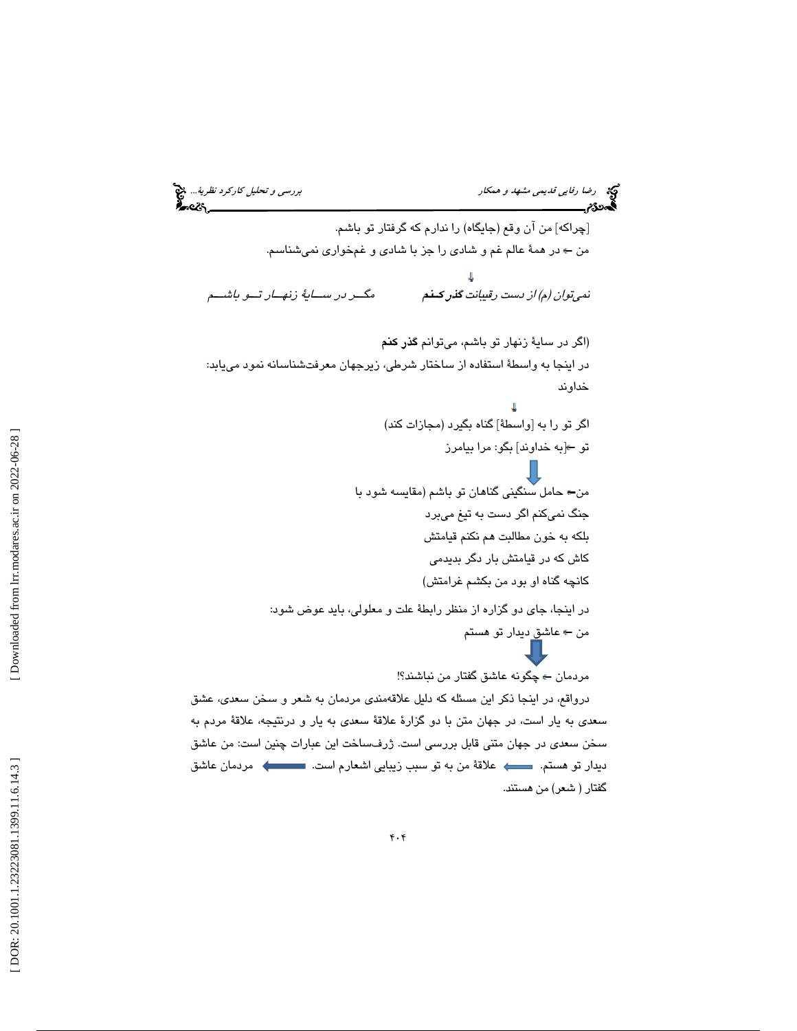رس*ي و تحليل كاركرد نظرية...*. وهي مشهد و همكار بررسي و تحليل كاركرد نظرية... وهي المستخدم و تحليل كاركرد نظرية...<br>**المحددة:م بررسي و تحفيظ المستخدم المستخدم المستخدم و تحفيظ المستخدم و تحفيظ المستخدم و تحفيظ المستخدم و ت** [چراكه] من آن وقع (جايگاه) را ندارم كه گرفتار تو باشم. من در همة عالم غم و شادي را جز با شادي و غمخواري نميشناسم. نم*ي توان (م) از دست رقيبانت گذر كــنم* مگــر در ســاية زنهــار تــو باشــم (اگر در ساية زنهار تو باشم، ميتوانم گذر كنم در اينجا به واسطة استفاده از ساختار شرطي، زيرجهان معرفتشناسانه نمود مييابد: خداوند اگر تو را به [واسطة] گناه بگيرد (مجازات كند) تو [به خداوند] بگو: مرا بيامرز من حامل سنگيني گناهان تو باشم (مقايسه شود با جنگ نميكنم اگر دست به تيغ ميبرد بلكه به خون مطالبت هم نكنم قيامتش كاش كه در قيامتش بار دگر بديدمي كانچه گناه او بود من بكشم غرامتش) در اينجا، جاي دو گزاره از منظر رابطة علت و معلولي، بايد عوض شود: من ← عاش<u>ق</u> ديدار تو هستم مردمان چگونه عاشق گفتار من نباشند؟! درواقع، در اينجا ذكر اين مسئله كه دليل علاقهمندي مردمان به شعر و سخن سعدي، عشق سعدي به يار است، در جهان متن با دو گزارة علاقة سعدي به يار و درنتيجه، علاقة مردم به سخن سعدي در جهان متني قابل بررسي است. ژرفساخت اين عبارات چنين است: من عاشق ديدار تو هستم. علاقة من به تو سبب زيبايي اشعارم است. مردمان عاشق گفتار ( شعر) من هستند.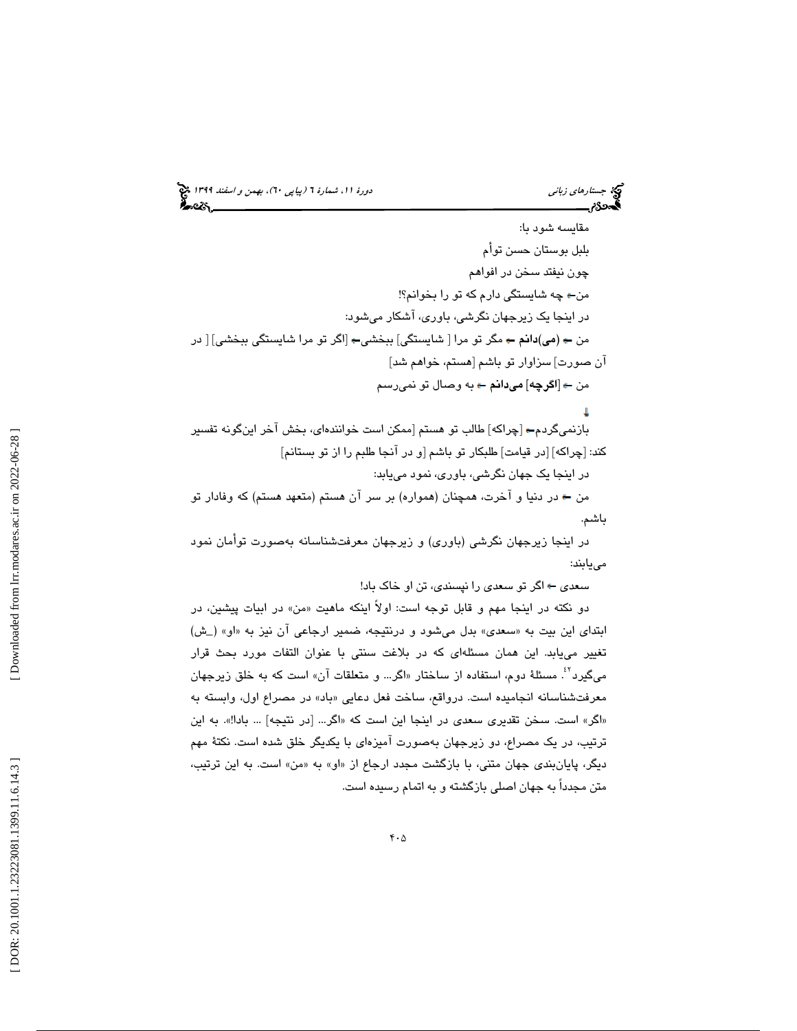# (پياپي 60)، بهمن و اسفند 1399 جستارهاي زباني دورة ،11 شمارة 6

مقايسه شود با: بلبل بوستان حسن تو مأ چون نيفتد سخن در افواهم من چه شايستگي دارم كه تو را بخوانم؟! در اينجا يك زيرجهان نگرشي، باوري، آشكار ميشود: من (مي)دانم مگر تو مرا [ شايستگي] ببخشي [اگر تو مرا شايستگي ببخشي] [ در آن صورت] سزاوار تو باشم [هستم، خواهم شد] من [اگرچه] ميدانم به وصال تو نميرسم بازنميگردم [چراكه] طالب تو هستم [ممكن است خوانندهاي، بخش آخر اينگونه تفسير كند: [چراكه] [در قيامت] طلبكار تو باشم [و در آنجا طلبم را از تو بستانم] در اينجا يك جهان نگرشي، باوري، نمود مييابد: من در دنيا و آخرت، همچنان (همواره) بر سر آن هستم (متعهد هستم) كه وفادار تو باشم.

در اينجا زيرجهان نگرشي (باوري) و زيرجهان معرفتشناسانه بهصورت توامان مييابند:

سعدي اگر تو سعدي را نپسندي، تن او خاك باد!

دو نكته در اينجا مهم و قابل توجه است: اولاً اينكه ماهيت «من» در ابيات پيشين، در ابتدای این بیت به «سعدی» بدل میشود و درنتیجه، ضمیر ارجاعی آن نیز به «او» (\_ش) تغيير مييابد. اين همان مسئلهاي كه در بلاغت سنتي با عنوان التفات مورد بحث قرار میگیرد<sup>۲٪</sup>. مسئلهٔ دوم، استفاده از ساختار «اگر… و متعلقات آن» است كه به خلق زیرجهان معرفتشناسانه انجامیده است. درواقع، ساخت فعل دعایی «باد» در مصراع اول، وابسته به «اگر» است. سخن تقدیری سعدی در اینجا این است که «اگر… [در نتیجه] … بادا!». به این ترتيب، در يك مصراع، دو زيرجهان بهصورت آميزهاي با يكديگر خلق شده است. نكتة مهم ديگر، پايانبندي جهان متني، با بازگشت مجدد ارجاع از «او» به «من» است. به اين ترتيب، متن مجدداً به جهان اصلي بازگشته و به اتمام رسيده است.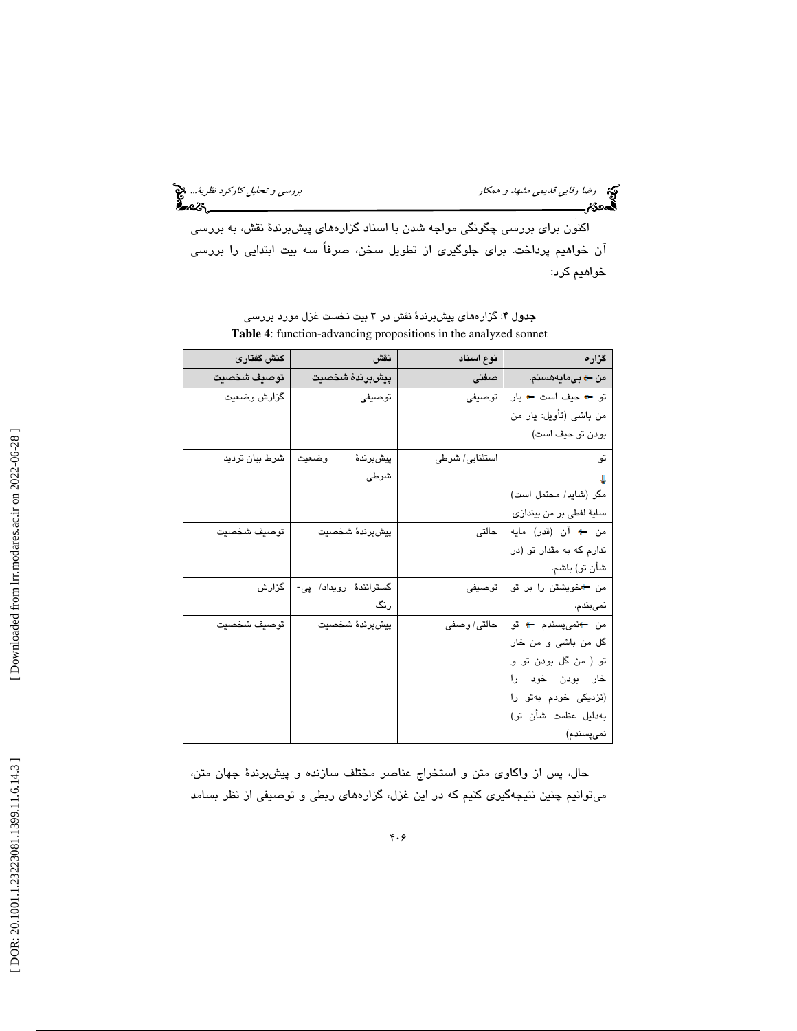رضا رفايي قديمي مشهد و همكار بررسي و تحليل *كاركرد نظرية...*. چ<mark>چ</mark><br>المحمدی:<br>المحمدی: بررسی بررسی الله عليه الله عليه الله عليه الله عليه الله عليه الله عليه الله عليه الله عليه الله عليه ا

اكنون براي بررسي چگونگي مواجه شدن با اسناد گزارههاي پيشبرندة نقش، به بررسي آن خواهيم پرداخت. براي جلوگيري از تطويل سخن، صرفاً سه بيت ابتدايي را بررسي خواهيم كرد:

| گزاره                                                  | نوع اسناد      | نقش                    | كنش كفتارى     |
|--------------------------------------------------------|----------------|------------------------|----------------|
| من <del>- ) ب</del> ىمايەھستم.                         | اصفتى          | ييشبرندة شخصيت         | توصيف شخصيت    |
| تو ← حيف است ← يار                                     | توصيفى         | توصيفي                 | گزارش وضعيت    |
| من باشى (تأويل: يار من                                 |                |                        |                |
| بودن تو حيف است)                                       |                |                        |                |
| تو                                                     | استثنایی/ شرطی | وضعيت<br>پيشبرندۀ      | شرط بیان تردید |
|                                                        |                | شرطى                   |                |
| مكر (شايد/ محتمل است)                                  |                |                        |                |
| سايۀ لفطي بر من بيندازي                                |                |                        |                |
| من ← آن (قدر) مايه <mark> </mark>                      | حالتى          | ييش برندة شخصيت        | توصيف شخصيت    |
| ندارم که به مقدار تو (در                               |                |                        |                |
| شأن تو) باشم.                                          |                |                        |                |
| من ←خویشتن را بر تو                                    | توصيفى         | گسترانندهٔ رویداد/ پی- | گزارش          |
| نمىبندم.                                               |                | رنگ                    |                |
| من <del>-ا</del> نمي <sub>ل</sub> سندم <del>-</del> تو | حالتی/ وصفی    | ييش برندة شخصيت        | توصيف شخصيت    |
| گل من باشی و من خار                                    |                |                        |                |
| تو ( من گل بودن تو و                                   |                |                        |                |
| خار بودن خود را                                        |                |                        |                |
| (نزدیکی خودم بهتو را                                   |                |                        |                |
| بەدليل عظمت شأن تو)                                    |                |                        |                |
| نمىپسندم)                                              |                |                        |                |

جدول 4: گزارههاي پيشبرندة نقش در 3 بيت نخست غزل مورد بررسي **Table 4**: function-advancing propositions in the analyzed sonnet

حال، پس از واكاوي متن و استخراج عناصر مختلف سازنده و پيشبرندة جهان متن، ميتوانيم چنين نتيجهگيري كنيم كه در اين غزل، گزارههاي ربطي و توصيفي از نظر بسامد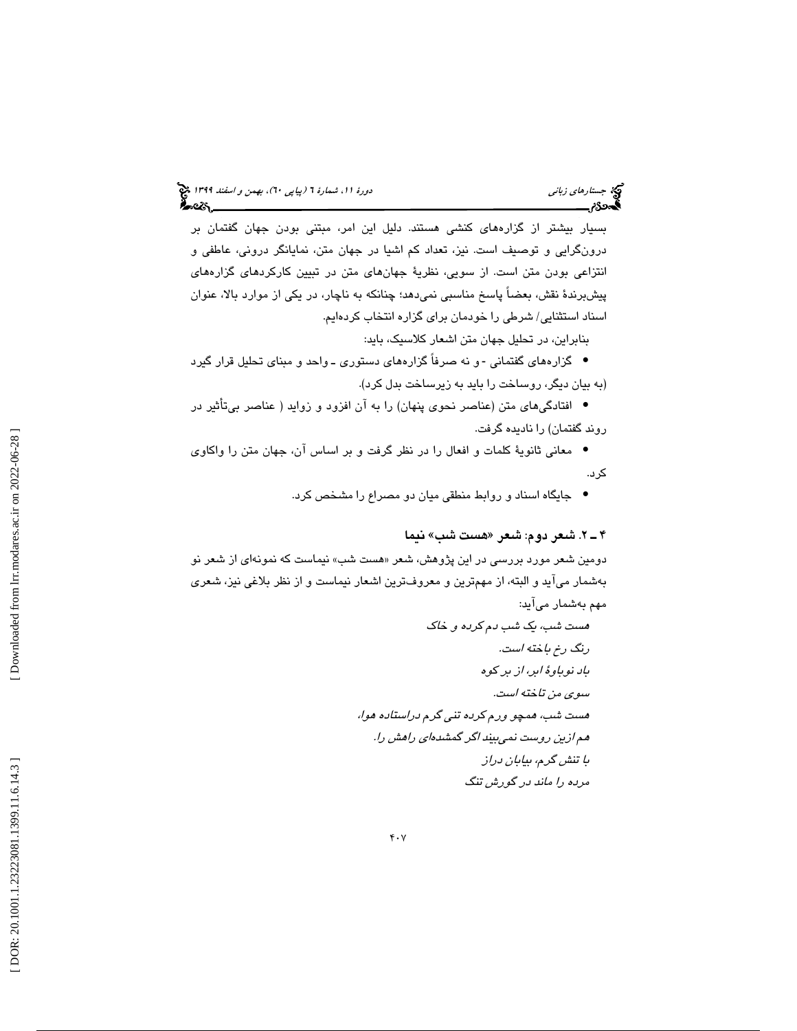بسيار بيشتر از گزارههاي كنشي هستند. دليل اين امر، مبتني بودن جهان گفتمان بر درونگرايي و توصيف است. نيز، تعداد كم اشيا در جهان متن، نمايانگر دروني، عاطفي و انتزاعي بودن متن است. از سويي، نظرية جهانهاي متن در تبيين كاركردهاي گزارههاي پيشبرندة نقش، بعضاً پاسخ مناسبي نميدهد؛ چنانكه به ناچار، در يكي از موارد بالا، عنوان اسناد استثنايي/ شرطي را خودمان براي گزاره انتخاب كردهايم.

بنابراين، در تحليل جهان متن اشعار كلاسيك، بايد:

• گزارههاي گفتماني -و نه صرفاً گزارههاي دستوري ـ واحد و مبناي تحليل قرار گيرد (به بيان ديگر، روساخت را بايد به زيرساخت بدل كرد).

افتادگيهاي متن (عناصر نحوي پنهان) را به آن افزود و زوايد ( عناصر بيتأثير در • روند گفتمان) را ناديده گرفت.

معاني ثانوية كلمات و افعال را در نظر گرفت و بر اساس آن، جهان متن را واكاوي • كرد.

جايگاه اسناد و روابط منطقي ميان دو مصراع را مشخص كرد. •

### هست شب» نيما 2ـ 4 . شعر دوم: شعر «

دومین شعر مورد بررسی در این پژوهش، شعر «هست شب» نیماست که نمونهای از شعر نو بهشمار ميآيد و البته، از مهمترين و معروفترين اشعار نيماست و از نظر بلاغي نيز، شعري مهم بهشمار ميآيد:

هست شب، يك شب دم كرده و خاك رنگ رخ باخته است. باد نوباوة ابر، از بر كوه سوي من تاخته است. هست شب، همچو ورم كرده تني گرم دراستاده هوا، هم ازين روست نميبيند اگر گمشدهاي راهش را. با تنش گرم، بيابان دراز مرده را ماند در گورش تنگ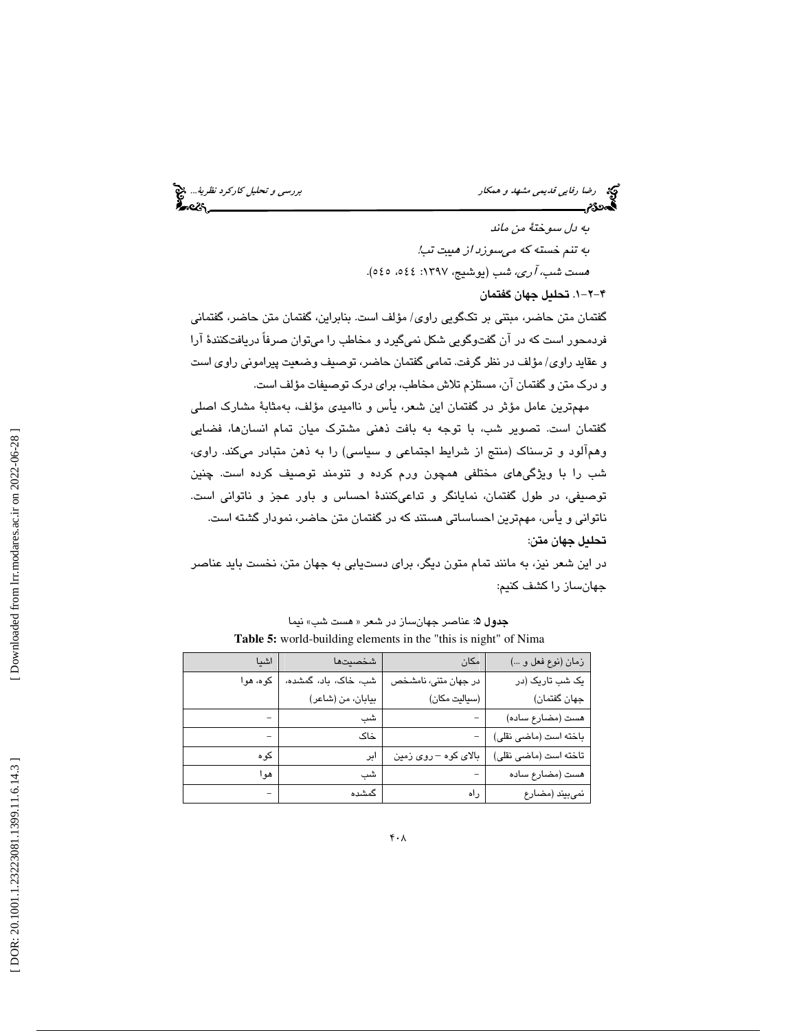رس*ي و تحليل كاركرد نظرية...*. وهي مشهد و همكار بررسي مشهد و همكار كاركرد *نظرية...*. وهي المستخدم و تحليل كاركرد نظرية...<br>**المستخدم بررسي المستخدم المستخدم المستخدم و تحت المستخدم و تحت المستخدم و تحت المستخدم و تحت المس** 

به دل سوختة من ماند به تنم خسته كه ميسوزد از هيبت تب! هست *شب، آري، شب* (يوشيج، ١٣٩٧: ١٤٤٤، ٥٤٥).

-2-1 4 . تحليل جهان گفتمان

گفتمان متن حاضر، مبتني بر تكگويي راوي/ مؤلف است. بنابراين، گفتمان متن حاضر، گفتماني فردمحور است كه در آن گفتوگويي شكل نميگيرد و مخاطب را ميتوان صرفاً دريافتكنندة آرا و عقايد راوي/ مؤلف در نظر گرفت. تمامي گفتمان حاضر، توصيف وضعيت پيراموني راوي است و درك متن و گفتمان آن، مستلزم تلاش مخاطب، براي درك توصيفات مؤلف است.

مهمترين عامل مؤثر در گفتمان اين شعر، يأس و نااميدي مؤلف، بهمثابة مشارك اصلي گفتمان است. تصوير شب، با توجه به بافت ذهني مشترك ميان تمام انسانها، فضايي وهمآلود و ترسناك (منتج از شرايط اجتماعي و سياسي) را به ذهن متبادر ميكند. راوي، شب را با ويژگيهاي مختلفي همچون ورم كرده و تنومند توصيف كرده است. چنين توصيفي، در طول گفتمان، نمايانگر و تداعيكنندة احساس و باور عجز و ناتواني است. ناتواني و يأس، مهمترين احساساتي هستند كه در گفتمان متن حاضر، نمودار گشته است. تحليل جهان متن:

در اين شعر نيز، به مانند تمام متون ديگر، براي دستيابي به جهان متن، نخست بايد عناصر جهانساز را كشف كنيم:

| اشىا     | شخصيتها              | مكان                 | زمان (نوع فعل و )     |
|----------|----------------------|----------------------|-----------------------|
| کوه، هوا | شب، خاک، باد، گمشده، | در جهان متنی، نامشخص | یک شب تاریک (در       |
|          | بيابان، من (شاعر)    | (سياليت مكان)        | جهان گفتمان)          |
|          | شب                   |                      | هست (مضارع ساده)      |
|          | خاک                  |                      | باخته است (ماضى نقلى) |
| کو ہ     | ابر                  | بالای کوه – روی زمین | تاخته است (ماضى نقلى) |
| هو ا     | شب                   |                      | هست (مضارع ساده       |
|          | گمشده                | راه                  | نمي بيند (مضارع       |

جدول 5: عناصر جهانساز در شعر « هست شب» نيما **Table 5:** world-building elements in the "this is night" of Nima

Downloaded from lrr.modares.ac.ir on 2022-06-28]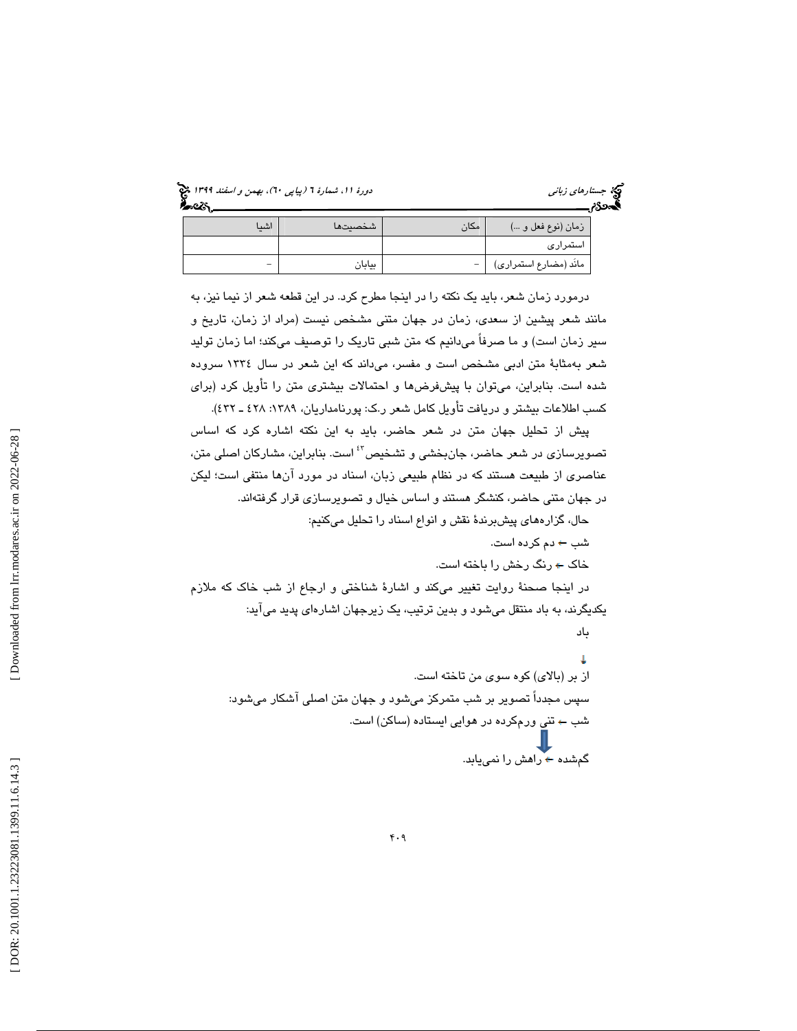(پياپي 60)، بهمن و اسفند 1399 جستارهاي زباني دورة ،11 شمارة 6

| جستارهای زبانی | న్న |
|----------------|-----|
| ەددە           |     |

باد

| اشىا                     | شخصيتها | مكان | زمان (نوعٌ فعل و …)      |
|--------------------------|---------|------|--------------------------|
|                          |         |      | استمرارى                 |
| $\overline{\phantom{m}}$ | بيابان  | $-1$ | مانَد (مضارع استمراري) " |

درمورد زمان شعر، بايد يك نكته را در اينجا مطرح كرد. در اين قطعه شعر از نيما نيز، به مانند شعر پيشين از سعدي، زمان در جهان متني مشخص نيست (مراد از زمان، تاريخ و سير زمان است) و ما صرفاً ميدانيم كه متن شبي تاريك را توصيف ميكند؛ اما زمان توليد شعر بهمثابة متن ادبي مشخص است و مفسر، ميداند كه اين شعر در سال 1334 سروده شده است. بنابراين، ميتوان با پيشفرضها و احتمالات بيشتري متن را تأويل كرد (براي كسب اطلاعات بيشتر و دريافت تأويل كامل شعر ر.ك: پورنامداريان، ١٣٨٩: ٤٢٨ ـ ٤٣٢).

پيش از تحليل جهان متن در شعر حاضر، بايد به اين نكته اشاره كرد كه اساس تصويرسازي در شعر حاضر، جان بخشي و تشخيص<sup>؟}</sup> است. بنابراين، مشاركان اصلي متن، عناصري از طبيعت هستند كه در نظام طبيعي زبان، اسناد در مورد آنها منتفي است؛ ليكن در جهان متني حاضر، كنشگر هستند و اساس خيال و تصويرسازي قرار گرفتهاند.

- حال، گزارههاي پيشبرندة نقش و انواع اسناد را تحليل ميكنيم:
	- شب دم كرده است. خاك رنگ رخش را باخته است.

در اينجا صحنهٔ روايت تغيير مىكند و اشارهٔ شناختى و ارجاع از شب خاك كه ملازم يكديگرند، به باد منتقل ميشود و بدين ترتيب، يك زيرجهان اشارهاي پديد ميآيد:

$$
↓
$$
 از بر (بالای) کوه سوی من تاخته است.  
سپس مجدداً تصویر بر شب متمرکز میشود و جهان متن اصلی آشکار میشود:  
شب – تنی ورمکرده در هوایی ایستاده (ساکن) است.  
کمشده + راهش را نمییابد.

Downloaded from lrr.modares.ac.ir on 2022-06-28]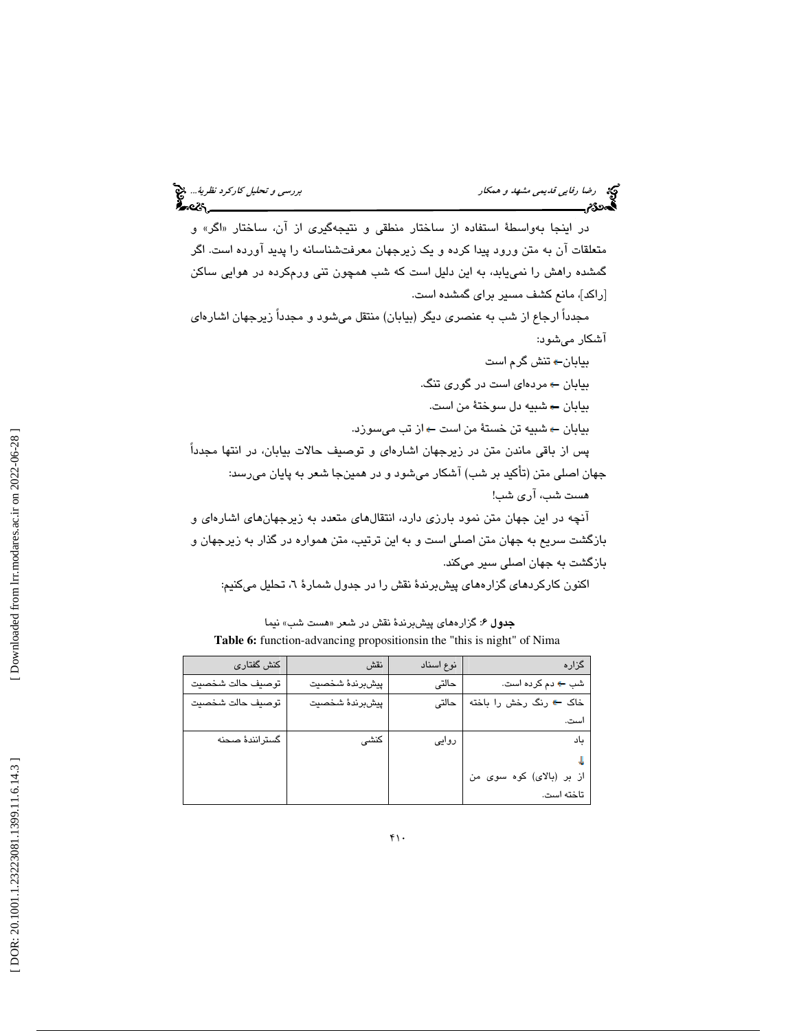در اينجا بهواسطهٔ استفاده از ساختار منطقی و نتيجهگيری از ان، ساختار «اگر» و متعلقات آن به متن ورود پيدا كرده و يك زيرجهان معرفتشناسانه را پديد آورده است. اگر گمشده راهش را نمييابد، به اين دليل است كه شب همچون تني ورمكرده در هوايي ساكن [راكد]، مانع كشف مسير براي گمشده است. مجدداً ارجاع از شب به عنصري ديگر (بيابان) منتقل ميشود و مجدداً زيرجهان اشارهاي آشكار ميشود: بيابان تنش گرم است بیابان ← مردها*ی* است در گوری تنگ.

بيابان شبيه دل سوختة من است. بيابان ← شبيه تن خستة من است ← از تب مي سوزد. پس از باقي ماندن متن در زيرجهان اشارهاي و توصيف حالات بيابان، در انتها مجدداً

جهان اصلي متن (تأكيد بر شب) آشكار ميشود و در همينجا شعر به پايان ميرسد: هست شب، آري شب!

آنچه در اين جهان متن نمود بارزي دارد، انتقالهاي متعدد به زيرجهانهاي اشارهاي و بازگشت سريع به جهان متن اصلي است و به اين ترتيب، متن همواره در گذار به زيرجهان و بازگشت به جهان اصلي سير ميكند.

اكنون كاركردهاي گزارههاي پيشبرندة نقش را در جدول شمار 6ة ، تحليل ميكنيم:

**جدول ۶**: گزارههاي پيشبرندهٔ نقش در شعر «هست شب» نيما **Table 6:** function-advancing propositionsin the "this is night" of Nima

| کنش گفتاری       | نقش            | نوع اسناد | گزاره                        |
|------------------|----------------|-----------|------------------------------|
| توصيف حالت شخصيت | پيشبرندۀ شخصيت | حالتى     | شب <del>۴</del> دم کرده است. |
| توصيف حالت شخصيت | پيشبرندۀ شخصيت | حالتى     | خاک ← رنگ رخش را باخته       |
|                  |                |           | است.                         |
| گسترانندهٔ صحنه  | كنشى           | روایی     | باد                          |
|                  |                |           |                              |
|                  |                |           | از بر (بالای) کوه سوی من     |
|                  |                |           | تاخته است.                   |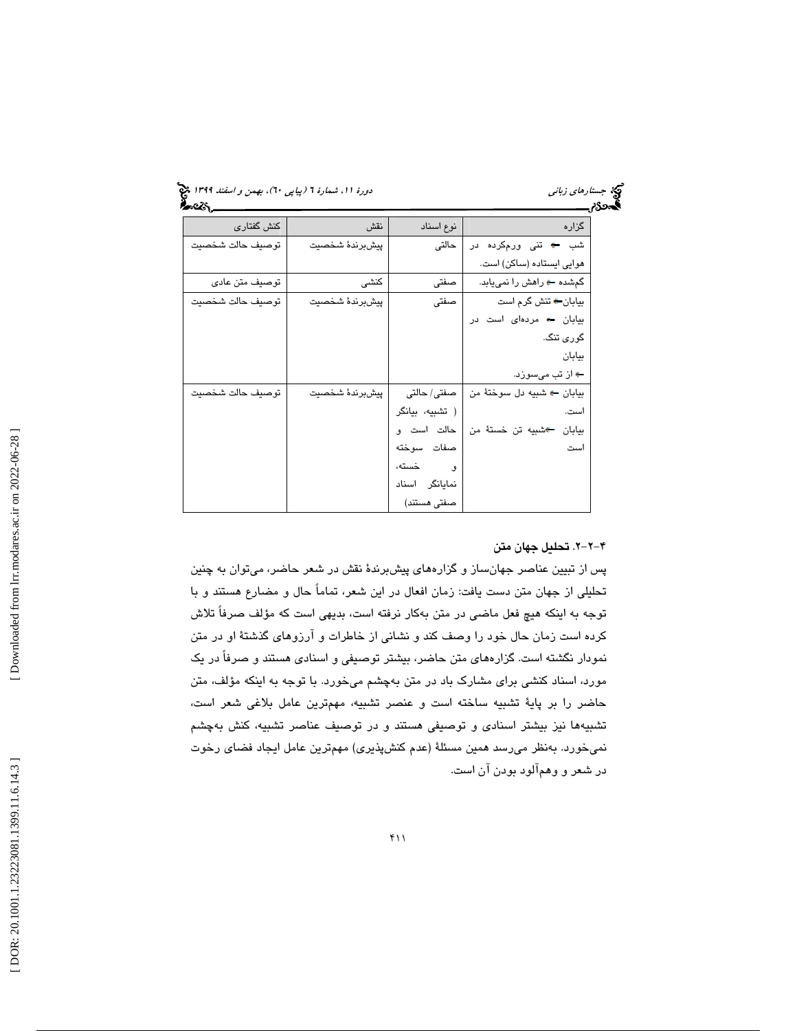(پياپي 60)، بهمن و اسفند 1399 جستارهاي زباني دورة ،11 شمارة 6

| کنش گفتاری       | نقش            | نوع اسناد       | گزاره                           |
|------------------|----------------|-----------------|---------------------------------|
| توصيف حالت شخصيت | پيشبرندۀ شخصيت | حالتى           | شب ← تنی ورمکرده در             |
|                  |                |                 | هوایی ایستاده (ساکن) است.       |
| توصيف متن عادى   | كنشى           | صفتى            | گمشده ← راهش را نمیبابد.        |
| توصيف حالت شخصيت | پيشبرندۀ شخصيت | صفتى            | بیابان <del>←</del> تنش گرم است |
|                  |                |                 | بیابان + مردهای است در          |
|                  |                |                 | گوری تنگ.                       |
|                  |                |                 | بيابان                          |
|                  |                |                 | <del>ء</del> از تب میسوزد.      |
| توصيف حالت شخصيت | پيشبرندۀ شخصيت | صفتی/ حالتی     | بيابان ، شبيه دل سوختهٔ من      |
|                  |                | ( تشبيه، بيانگر | است.                            |
|                  |                | حالت است و      | بيابان گشبيه تن خستهٔ من        |
|                  |                | صفات سوخته      | است                             |
|                  |                | و خسته،         |                                 |
|                  |                | نمایانگر اسناد  |                                 |
|                  |                | صفتی هستند)     |                                 |

### -2-2 4 . تحليل جهان متن

پس از تبيين عناصر جهانساز و گزارههاي پيشبرندة نقش در شعر حاضر، ميتوان به چنين تحليلي از جهان متن دست يافت: زمان افعال در اين شعر، تماماً حال و مضارع هستند و با توجه به اينكه هيچ فعل ماضي در متن بهكار نرفته است، بديهي است كه مؤلف صرفاً تلاش كرده است زمان حال خود را وصف كند و نشاني از خاطرات و آرزوهاي گذشتة او در متن نمودار نگشته است. گزارههاي متن حاضر، بيشتر توصيفي و اسنادي هستند و صرفاً در يك مورد، اسناد كنشي براي مشارك باد در متن بهچشم ميخورد. با توجه به اينكه مؤلف، متن حاضر را بر پاية تشبيه ساخته است و عنصر تشبيه، مهمترين عامل بلاغي شعر است، تشبيهها نيز بيشتر اسنادي و توصيفي هستند و در توصيف عناصر تشبيه، كنش بهچشم نميخورد. بهنظر ميرسد همين مسئلة (عدم كنشپذيري) مهمترين عامل ايجاد فضاي رخوت در شعر و وهمآلود بودن آن است.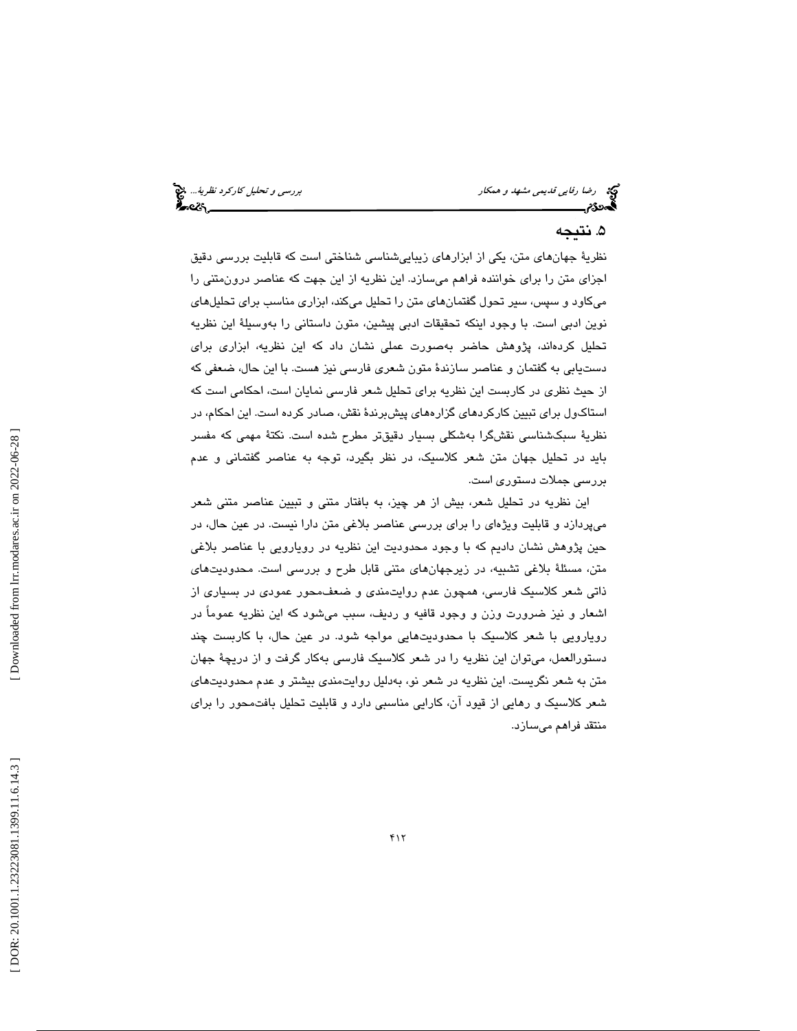رضا ر*فايي قديمي مشهد و همكار بررسي و تحليل كاركرد نظرية...*. پيچ<br>**الی ترجمن بررسي و تحليل كارل**يمي كارليمي كارليمي كارليمي كارليمي كارليمي كارليمي كارليمي كارليمي كارليمي كارليم<br>**الی تحلیل كارلیمي كارليمي كارليمي كارليمي** 

## ۵. نتىجە

نظرية جهانهاي متن، يكي از ابزارهاي زيباييشناسي شناختي است كه قابليت بررسي دقيق اجزاي متن را براي خواننده فراهم ميسازد. اين نظريه از اين جهت كه عناصر درونمتني را ميكاود و سپس، سير تحول گفتمانهاي متن را تحليل ميكند، ابزاري مناسب براي تحليلهاي نوين ادبي است. با وجود اينكه تحقيقات ادبي پيشين، متون داستاني را بهوسيلة اين نظريه تحليل كردهاند، پژوهش حاضر بهصورت عملي نشان داد كه اين نظريه، ابزاري براي دستيابي به گفتمان و عناصر سازندة متون شعري فارسي نيز هست. با اين حال، ضعفي كه از حيث نظري در كاربست اين نظريه براي تحليل شعر فارسي نمايان است، احكامي است كه استاكول براي تبيين كاركردهاي گزارههاي پيشبرندة نقش، صادر كرده است. اين احكام، در نظرية سبكشناسي نقشگرا بهشكلي بسيار دقيقتر مطرح شده است. نكتة مهمي كه مفسر بايد در تحليل جهان متن شعر كلاسيك، در نظر بگيرد، توجه به عناصر گفتماني و عدم بررسي جملات دستوري است.

اين نظريه در تحليل شعر، بيش از هر چيز، به بافتار متني و تبيين عناصر متني شعر ميپردازد و قابليت ويژهاي را براي بررسي عناصر بلاغي متن دارا نيست. در عين حال، در حين پژوهش نشان داديم كه با وجود محدوديت اين نظريه در رويارويي با عناصر بلاغي متن، مسئلة بلاغي تشبيه، در زيرجهانهاي متني قابل طرح و بررسي است. محدوديتهاي ذاتي شعر كلاسيك فارسي، همچون عدم روايتمندي و ضعفمحور عمودي در بسياري از اشعار و نيز ضرورت وزن و وجود قافيه و رديف، سبب ميشود كه اين نظريه عموماً در رويارويي با شعر كلاسيك با محدوديتهايي مواجه شود. در عين حال، با كاربست چند دستورالعمل، ميتوان اين نظريه را در شعر كلاسيك فارسي بهكار گرفت و از دريچة جهان متن به شعر نگريست. اين نظريه در شعر نو، بهدليل روايتمندي بيشتر و عدم محدوديتهاي شعر كلاسيك و رهايي از قيود آن، كارايي مناسبي دارد و قابليت تحليل بافتمحور را براي منتقد فراهم ميسازد.

 [\[ DOR: 20.1001.1.23223081.1399.11.6.14](https://dorl.net/dor/20.1001.1.23223081.1399.11.6.14.3).3 ] [\[ Downloaded from lrr.modares.ac.ir on 20](https://lrr.modares.ac.ir/article-14-33943-fa.html)22-06-28 ] Downloaded from lrr.modares.ac.ir on 2022-06-28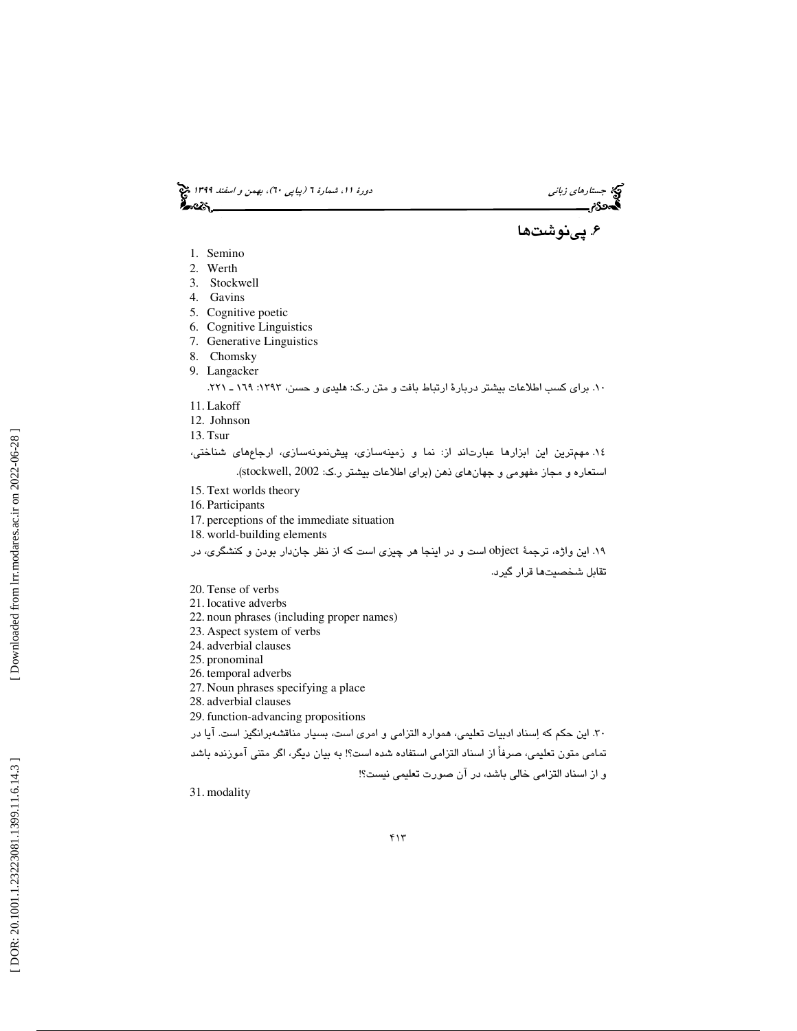(پياپي 60)، بهمن و اسفند 1399 جستارهاي زباني دورة ،11 شمارة 6

۶. پینوشتها

- 1. Semino
- 2. Werth
- 3. Stockwell
- 4. Gavins
- 5. Cognitive poetic
- 6. Cognitive Linguistics
- 7. Generative Linguistics
- 8. Chomsky
- 

۰۹. براي كسب اطلاعات بيشتر دربارهٔ ارتباط بافت و متن ر.ك: هليدي و حسن، ۱۳۹۳: ۱۹۹ ـ ۲۹۱.<br>۱۰. براي كسب اطلاعات بيشتر دربارهٔ ارتباط بافت و متن ر.ك: هليدي و حسن، ۱۳۹۳: ۱۹۹.

- 11. Lakoff
- 12. Johnson
- 13. Tsur

١٤. مهمترين اين ابزارها عبارتاند از: نما و زمينهسازي، پيشنمونهسازي، ارجاعهاي شناختي،

استعاره و مجاز مفهومي و جهانهاي ذهن (براي اطلاعات بيشتر ر.ک: stockwell, 2002).

- 15. Text worlds theory
- 16. Participants
- 17. perceptions of the immediate situation
- 18. world-building elements

19. اين واژه، ترجمة object است و در اينجا هر چيزي است كه از نظر جاندار بودن و كنشگري، در تقابل شخصيتها قرار گيرد.

- 20. Tense of verbs
- 21. locative adverbs
- 22. noun phrases (including proper names)
- 23. Aspect system of verbs
- 24. adverbial clauses
- 25. pronominal
- 26. temporal adverbs
- 27. Noun phrases specifying a place
- 28. adverbial clauses
- 29. function-advancing propositions
- 30. اين حكم كه اسناد ادبيات تعليمي، همواره التزامي و امري است، بسيار مناقشهبرانگيز است. آيا در

تمامي متون تعليمي، صرفاً از اسناد التزامي استفاده شده است؟! به بيان ديگر، اگر متني آموزنده باشد

و از اسناد التزامي خالي باشد، در آن صورت تعليمي نيست؟!

31. modality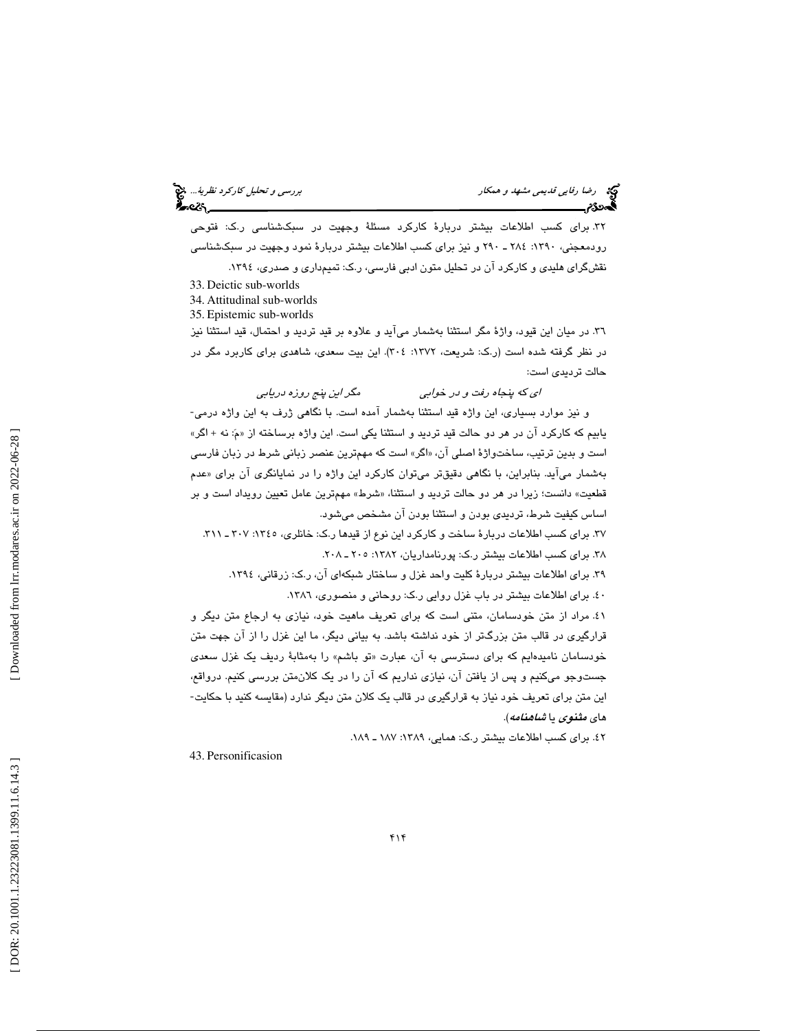۳۲. برای كسب اطلاعات بیشتر دربارهٔ كاركرد مسئلهٔ وجهیت در سبكشناسی ر.ك: فتوحی رودمعجني، :1390 284 ـ 290 و نيز براي كسب اطلاعات بيشتر دربارة نمود وجهيت در سبكشناسي نقشگراي هليدي و كاركرد آن در تحليل متون ادبي فارسي، ر.ك : تميمداري و صدري، 1394 .

- 33. Deictic sub-worlds
- 34. Attitudinal sub-worlds
- 35. Epistemic sub-worlds

36. در ميان اين قيود، واژة مگر استثنا بهشمار ميآيد و علاوه بر قيد ترديد و احتمال، قيد استثنا نيز ن در ظر گرفته شده است (ر.ك : شريعت، :1372 304). اين بيت سعدي، شاهدي براي كاربرد مگر در حالت ترديدي است:

اي كه پنجاه رفت و در خوابي مگر اين پنج روزه دريابي و نيز موارد بسياري، اين واژه قيد استثنا بهشمار آمده است. با نگاهي ژرف به اين واژه درمي- یابیم که کارکرد ان در هر دو حالت قید تردید و استثنا یکی است. این واژه برساخته از «مَ: نه + اگر» است و بدين ترتيب، ساختواژهٔ اصلی ان، «اگر» است که مهمترين عنصر زباني شرط در زبان فارس*ي* بهشمار می|ید. بنابراین، با نگاهی دقیقتر میتوان کارکرد این واژه را در نمایانگری ان برای «عدم قطعيت» دانست؛ زيرا در هر دو حالت ترديد و استثنا، «شرط» مهمترين عامل تعيين رويداد است و بر ساس كيفيت شرط، ترديدي بودن و استثنا بودن آن مشخص ميشود. ا

۳۷. برای کسب اطلاعات دربارهٔ ساخت و کارکرد این نوع از قیدها ر.ک: خانلری، ۱۳۶۵: ۳۰۷ ـ ۳۱۱.<br>۳۸. برای کسب اطلاعات بیشتر ر.ک: پورنامداریان، ۱۳۸۲: ۲۰۰ ـ ۲۰۸.<br>۳۹. برای اطلاعات بیشتر دربارهٔ کلیت واحد غزل و ساختار شبکهای آن، ر.ک

41. مراد از متن خودسامان، متني است كه براي تعريف ماهيت خود، نيازي به ارجاع متن ديگر و قرارگيري در قالب متن بزرگتر از خود نداشته باشد. به بياني ديگر، ما اين غزل را از آن جهت متن خودسامان ناميدهايم كه براي دسترسي به ان، عبارت «تو باشم» را بهمثابهٔ رديف يک غزل سع*دي* جستوجو میكنیم و پس از یافتن ان، نیازی نداریم كه ان را در یک كلان،متن بررسی كنیم. درواقع، اين متن براي تعريف خود نياز به قرارگيري در قالب يك كلان متن ديگر ندارد (مقايسه كنيد با حكايت- ها*ی مثنوی* یا *شاهنامه).* 

٤٢. برای كسب اطلاعات بیشتر ر.ك: همایی، ١٣٨٩: ١٨٧ ـ ١٨٩.

43. Personificasion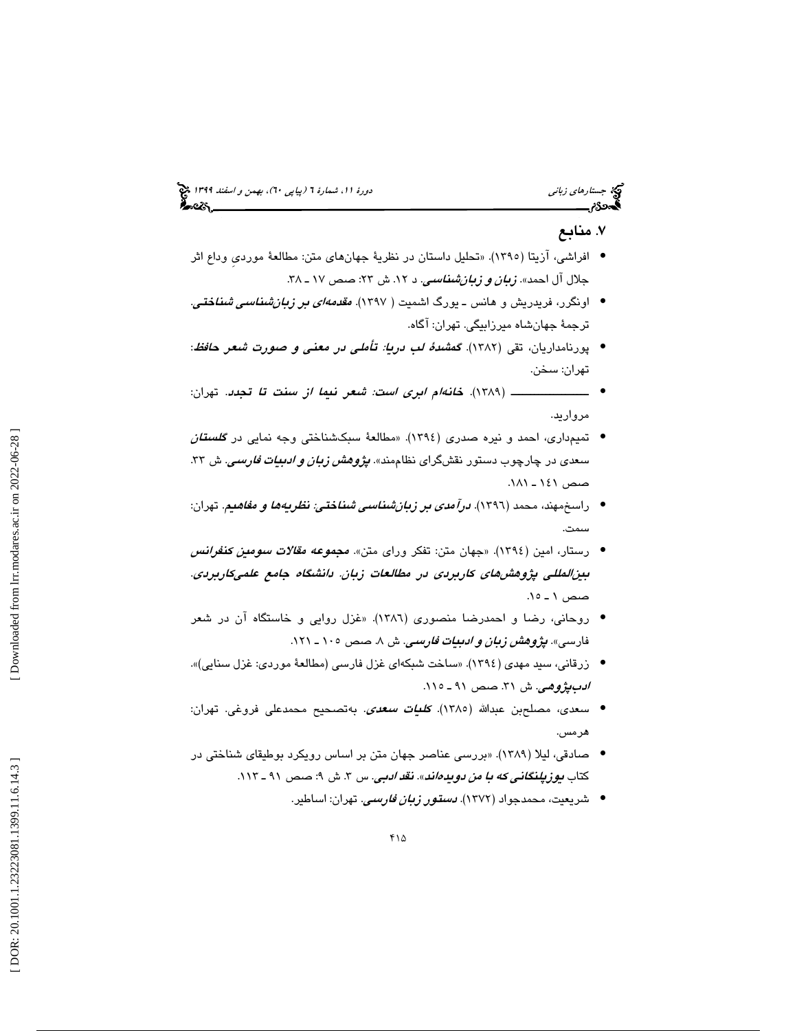# (پياپي 60)، بهمن و اسفند 1399 جستارهاي زباني دورة ،11 شمارة 6

# . منابع 7

- افراشي، آزيتا (1395). «تحليل داستان در نظرية جهانهاي متن: مطالعة مورديِ وداع اثر جلال ال احمد». *زبان و زبانشناسي*. د ۱۲. ش ۲۳: صص ۱۷ ـ ۳۸.
- اونگرر، فريدريش و هانس ــ يورگ اشميت ( ١٣٩٧). *مقدمهای بر زبانشناسی شناختی*. ترجمة جهانشاه ميرزابيگي. تهران: آگاه.
- پورنامداريان، تقى (١٣٨٢). گ*مشدهٔ لب دريا: تأملى در معنى و صورت شعر حافظ*: تهران: سخن.
- است: شعر نيما از سنت تا تجدد. تهران: ــــــــــــــــــــ ( 1389). خانهام ابري • مرواريد.
- تميمداري، احمد و نيره صدري (1394). «مطالعة سبكشناختي وجه نمايي در گلستان سعدی در چارچوب دستور نقشگرای نظاممند». *پژوهش زبان و ادبیات فارسی*. ش ۳۳. صص 141 ـ 181 .
- راسخمهند، محمد (١٣٩٦). *درآمدی بر زبانشناسی شناختی: نظریهها و مفاهیم*. تهران: سمت.
- رستار، امین (١٣٩٤). «جهان متن: تفكر وراي متن». مج*موعه مقالات سومین كنفرانس* بينالمللي پژوهشهای كاربردی در مطالعات زبان. دانشگاه جامع علمیكاربردی. صص ١ ـ ١٥.
- روحاني، رضا و احمدرضا منصوري (1386). «غزل روايي و خاستگاه آن در شعر 8 . صص 105 ـ 121 . فارسي». پژوهش زبان و ادبيات فارسي. ش
- زرقاني، سيد مهدي (1394). «ساخت شبكهاي غزل فارسي (مطالعة موردي: غزل سنايي)». *ادبپژوهي*. ش ۳۱. صص ۹۱ ـ ۱۱۰.
- سعدی، مصلحبن عبدالله (١٣٨٥). *كلئيات سعدی. ب*هتصحيح محمدعلی فروغی. تهران: هرمس.
- صادقي، ليلا (1389). «بررسي عناصر جهان متن بر اساس رويكرد بوطيقاي شناختي در كتاب *يوزپلنگاني كه با من دويدهاند*». *نقد ادبي*. س ۳. ش ۹: صص ۹۱ ـ ۱۱۳.
	- شريعيت، محمدجواد (١٣٧٢). *دستور ز<i>بان فارسي***.** تهران: اساطير.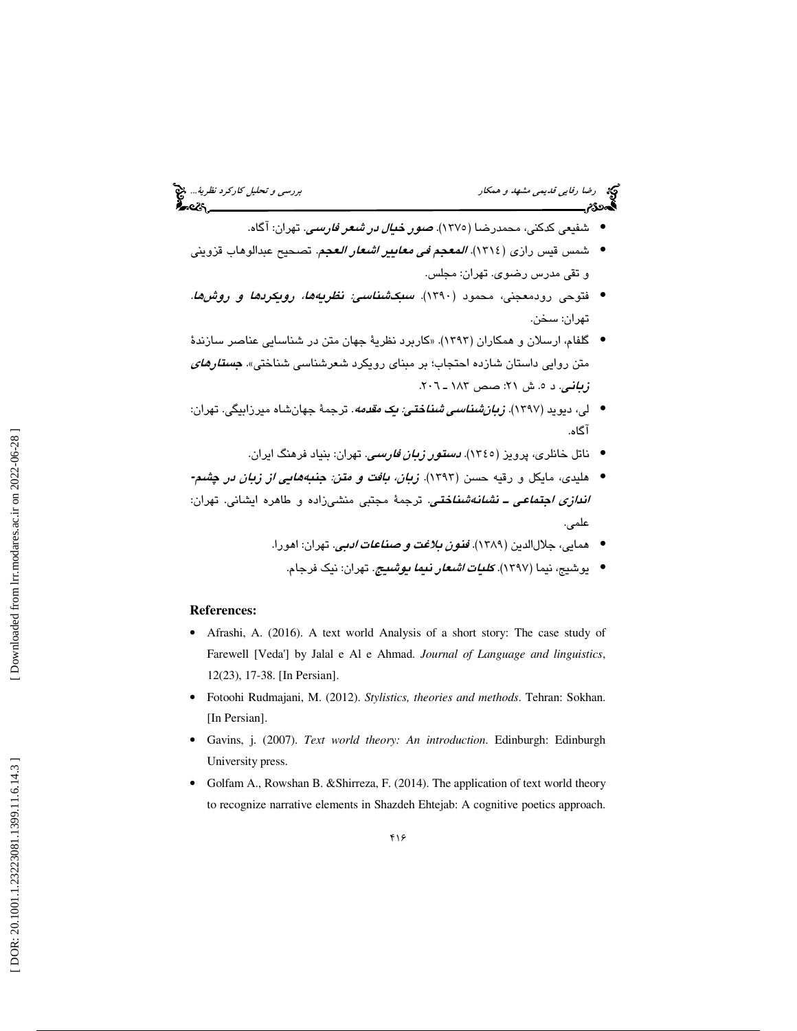- شفيعي كدكني، محمدرضا (١٣٧٥). *صور خيال در شعر فارسي*. تهران: آگاه.
- شمس قيس رازي (١٣١٤). *المعجم في معايير اشعار العجم*. تصحيح عبدالوهاب قزويني و تقي مدرس رضوي. تهران: مجلس.
- فتوحي رودمعجني، محمود (1390). سبكشناسي: نظريهها، رويكردها و روشها. تهران: سخن.
- گلفام، ارسلان و همكاران ( 1393). «كاربرد نظرية جهان متن در شناسايي عناصر سازندة متن روایی داستان شازده احتجاب؛ بر مبنای رویکرد شعرشناسی شناختی». *جست<i>ارهای*<br>زبانی. د ۰. ش ۲۱: صص ۱۸۳ ـ ۲۰۱.
- لی، دیوید (۱۳۹۷). *زبانشناسی شناختی: یک مقدمه*. ترجمهٔ جهانشاه میرزابیگی. تهران: آگاه.
	- ناتل خانلری، پرویز (١٣٤٥). *دستور زبان فارسی*. تهران: بنیاد فرهنگ ایران.
- هليدي، مايكل و رقيه حسن (1393). زبان، بافت و متن: جنبهها يي از زبان در چشم**-** *اند<i>ازی اجتماعی ــ نشانـهشناختی.* ترجمهٔ مجتبی منشیزاده و طاهره ایشانی. تهران: علمي.
	- همايي، جلالالدين (١٣٨٩). *ففون بلاغت و صناعات ادبي*. تهران: اهورا.
		- يوشيج، نيما (١٣٩٧). *ك<mark>ليات <i>اشعار نيما يوشيج*. تهران: نيك فرجام.</mark>

### **References:**

- Afrashi, A. (2016). A text world Analysis of a short story: The case study of Farewell [Veda'] by Jalal e Al e Ahmad. *Journal of Language and linguistics*, 12(23), 17-38. [In Persian].
- Fotoohi Rudmajani, M. (2012). *Stylistics, theories and methods*. Tehran: Sokhan. [In Persian].
- Gavins, j. (2007). *Text world theory: An introduction*. Edinburgh: Edinburgh University press.
- Golfam A., Rowshan B. & Shirreza, F. (2014). The application of text world theory to recognize narrative elements in Shazdeh Ehtejab: A cognitive poetics approach.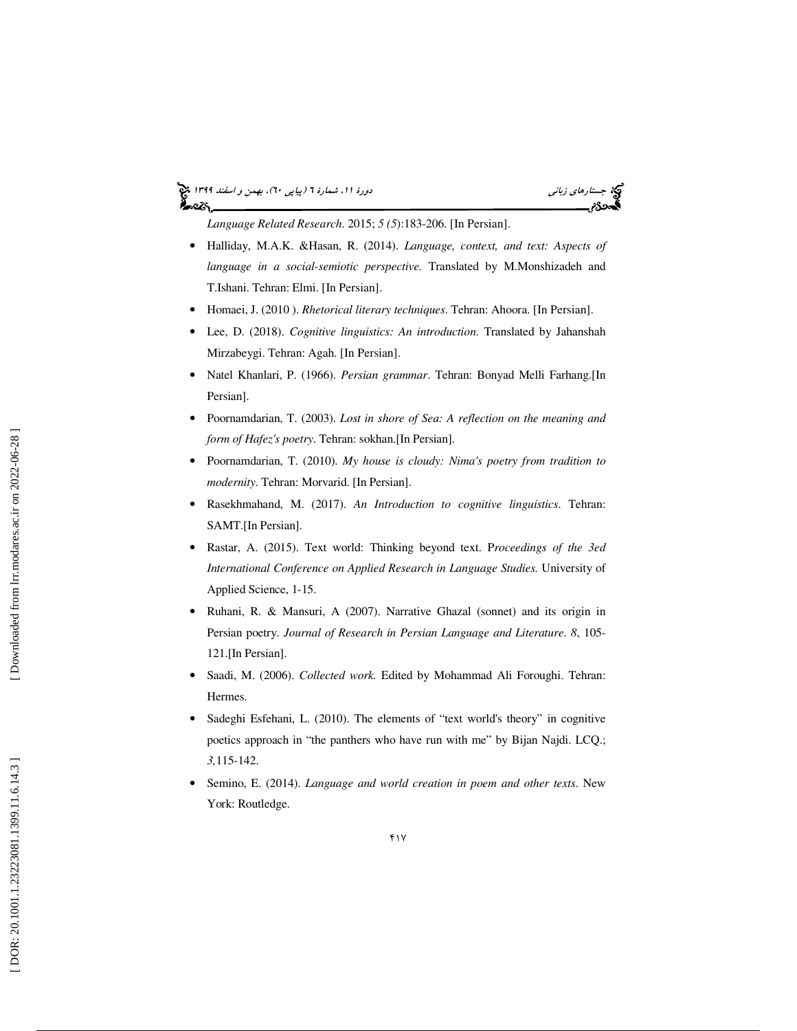### (پياپي 60)، بهمن و اسفند 1399 جستارهاي زباني دورة ،11 شمارة 6 أحددكم

*Language Related Research*. 2015; *5 (5*):183-206. [In Persian].

- Halliday, M.A.K. &Hasan, R. (2014). *Language, context, and text: Aspects of language in a social-semiotic perspective.* Translated by M.Monshizadeh and T.Ishani. Tehran: Elmi. [In Persian].
- Homaei, J. (2010 ). *Rhetorical literary techniques*. Tehran: Ahoora. [In Persian].
- Lee, D. (2018). *Cognitive linguistics: An introduction*. Translated by Jahanshah Mirzabeygi. Tehran: Agah. [In Persian].
- Natel Khanlari, P. (1966). *Persian grammar*. Tehran: Bonyad Melli Farhang.[In Persian].
- Poornamdarian, T. (2003). *Lost in shore of Sea: A reflection on the meaning and form of Hafez's poetry*. Tehran: sokhan.[In Persian].
- Poornamdarian, T. (2010). *My house is cloudy: Nima's poetry from tradition to modernity*. Tehran: Morvarid. [In Persian].
- Rasekhmahand, M. (2017). *An Introduction to cognitive linguistics*. Tehran: SAMT.[In Persian].
- Rastar, A. (2015). Text world: Thinking beyond text. P*roceedings of the 3ed International Conference on Applied Research in Language Studies.* University of Applied Science, 1-15.
- Ruhani, R. & Mansuri, A (2007). Narrative Ghazal (sonnet) and its origin in Persian poetry. *Journal of Research in Persian Language and Literature*. *8*, 105- 121.[In Persian].
- Saadi, M. (2006). *Collected work.* Edited by Mohammad Ali Foroughi. Tehran: Hermes.
- Sadeghi Esfehani, L. (2010). The elements of "text world's theory" in cognitive poetics approach in "the panthers who have run with me" by Bijan Najdi. LCQ.; *3,*115-142.
- Semino, E. (2014). *Language and world creation in poem and other texts*. New York: Routledge.